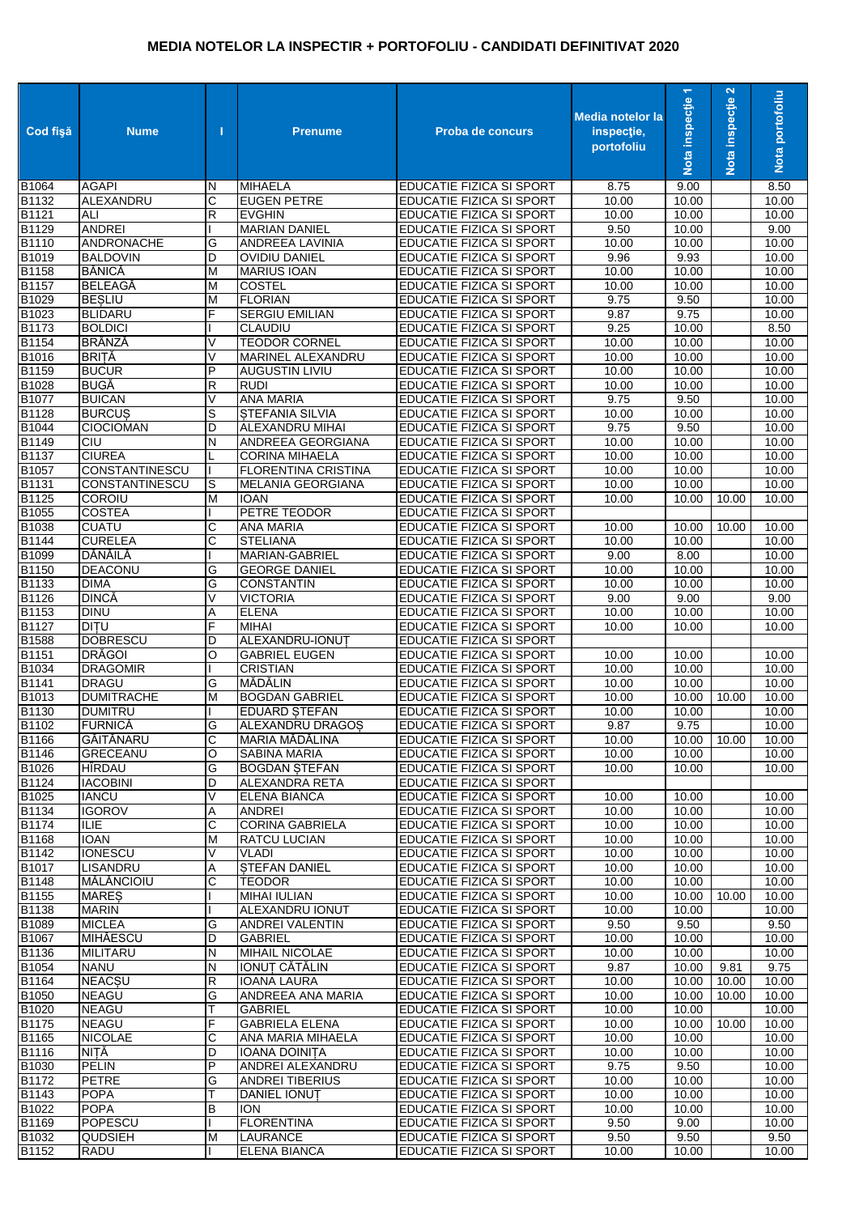## **MEDIA NOTELOR LA INSPECTIR + PORTOFOLIU - CANDIDATI DEFINITIVAT 2020**

| Cod fişă              | <b>Nume</b>                                    | п           | <b>Prenume</b>                                  | <b>Proba de concurs</b>                                            | Media notelor la<br>inspectie,<br>portofoliu | $\overline{\phantom{0}}$<br>Nota inspecție | $\mathbf{N}$<br>Nota inspecție | Nota portofoliu    |
|-----------------------|------------------------------------------------|-------------|-------------------------------------------------|--------------------------------------------------------------------|----------------------------------------------|--------------------------------------------|--------------------------------|--------------------|
| B1064                 | <b>AGAPI</b>                                   | N           | <b>MIHAELA</b>                                  | EDUCATIE FIZICA SI SPORT                                           | 8.75                                         | 9.00                                       |                                | 8.50               |
| B1132                 | ALEXANDRU                                      | C           | <b>EUGEN PETRE</b>                              | EDUCATIE FIZICA SI SPORT                                           | 10.00                                        | 10.00                                      |                                | 10.00              |
| B1121                 | ALI                                            | R           | <b>EVGHIN</b>                                   | EDUCATIE FIZICA SI SPORT                                           | 10.00                                        | 10.00                                      |                                | 10.00              |
| <b>B1129</b><br>B1110 | <b>ANDREI</b><br><b>ANDRONACHE</b>             | G           | <b>MARIAN DANIEL</b><br><b>ANDREEA LAVINIA</b>  | EDUCATIE FIZICA SI SPORT<br>EDUCATIE FIZICA SI SPORT               | 9.50<br>10.00                                | 10.00<br>10.00                             |                                | 9.00<br>10.00      |
| B1019                 | <b>BALDOVIN</b>                                | D           | <b>OVIDIU DANIEL</b>                            | EDUCATIE FIZICA SI SPORT                                           | 9.96                                         | 9.93                                       |                                | 10.00              |
| B1158                 | <b>BĂNICĂ</b>                                  | M           | <b>MARIUS IOAN</b>                              | EDUCATIE FIZICA SI SPORT                                           | 10.00                                        | 10.00                                      |                                | 10.00              |
| <b>B1157</b>          | <b>BELEAGĂ</b>                                 | M           | <b>COSTEL</b>                                   | EDUCATIE FIZICA SI SPORT                                           | 10.00                                        | 10.00                                      |                                | 10.00              |
| B1029                 | <b>BESLIU</b>                                  | M           | <b>FLORIAN</b>                                  | EDUCATIE FIZICA SI SPORT                                           | 9.75                                         | 9.50                                       |                                | 10.00              |
| B1023                 | <b>BLIDARU</b>                                 | F           | <b>SERGIU EMILIAN</b>                           | EDUCATIE FIZICA SI SPORT                                           | 9.87                                         | 9.75                                       |                                | 10.00              |
| B1173                 | <b>BOLDICI</b>                                 |             | CLAUDIU                                         | EDUCATIE FIZICA SI SPORT                                           | 9.25                                         | 10.00                                      |                                | 8.50               |
| B1154<br>B1016        | <b>BRÂNZĂ</b><br><b>BRITĂ</b>                  | V<br>V      | <b>TEODOR CORNEL</b><br>MARINEL ALEXANDRU       | EDUCATIE FIZICA SI SPORT<br>EDUCATIE FIZICA SI SPORT               | 10.00<br>10.00                               | 10.00<br>10.00                             |                                | 10.00<br>10.00     |
| B1159                 | <b>BUCUR</b>                                   | P           | <b>AUGUSTIN LIVIU</b>                           | EDUCATIE FIZICA SI SPORT                                           | 10.00                                        | 10.00                                      |                                | 10.00              |
| B1028                 | <b>BUGĂ</b>                                    | R           | <b>RUDI</b>                                     | EDUCATIE FIZICA SI SPORT                                           | 10.00                                        | 10.00                                      |                                | 10.00              |
| <b>B1077</b>          | <b>BUICAN</b>                                  | V           | <b>ANA MARIA</b>                                | <b>EDUCATIE FIZICA SI SPORT</b>                                    | 9.75                                         | 9.50                                       |                                | 10.00              |
| B1128                 | <b>BURCUS</b>                                  | S           | <b>STEFANIA SILVIA</b>                          | EDUCATIE FIZICA SI SPORT                                           | 10.00                                        | 10.00                                      |                                | 10.00              |
| B1044                 | <b>CIOCIOMAN</b>                               | D           | <b>ALEXANDRU MIHAI</b>                          | EDUCATIE FIZICA SI SPORT                                           | 9.75                                         | 9.50                                       |                                | 10.00              |
| B1149                 | CIU                                            | N           | ANDREEA GEORGIANA                               | EDUCATIE FIZICA SI SPORT                                           | 10.00                                        | 10.00                                      |                                | 10.00              |
| B1137                 | <b>CIUREA</b>                                  |             | <b>CORINA MIHAELA</b>                           | <b>EDUCATIE FIZICA SI SPORT</b>                                    | 10.00                                        | 10.00                                      |                                | 10.00              |
| B1057<br>B1131        | <b>CONSTANTINESCU</b><br><b>CONSTANTINESCU</b> | S           | <b>FLORENTINA CRISTINA</b><br>MELANIA GEORGIANA | <b>EDUCATIE FIZICA SI SPORT</b><br><b>EDUCATIE FIZICA SI SPORT</b> | 10.00<br>10.00                               | 10.00<br>10.00                             |                                | 10.00<br>10.00     |
| B1125                 | COROIU                                         | M           | <b>IOAN</b>                                     | EDUCATIE FIZICA SI SPORT                                           | 10.00                                        | 10.00                                      | 10.00                          | 10.00              |
| B1055                 | <b>COSTEA</b>                                  |             | PETRE TEODOR                                    | EDUCATIE FIZICA SI SPORT                                           |                                              |                                            |                                |                    |
| B1038                 | <b>CUATU</b>                                   | С           | <b>ANA MARIA</b>                                | EDUCATIE FIZICA SI SPORT                                           | 10.00                                        | 10.00                                      | 10.00                          | 10.00              |
| B1144                 | <b>CURELEA</b>                                 | С           | <b>STELIANA</b>                                 | EDUCATIE FIZICA SI SPORT                                           | 10.00                                        | 10.00                                      |                                | 10.00              |
| B1099                 | DĂNĂILĂ                                        |             | MARIAN-GABRIEL                                  | EDUCATIE FIZICA SI SPORT                                           | 9.00                                         | 8.00                                       |                                | 10.00              |
| B1150                 | <b>DEACONU</b>                                 | G           | <b>GEORGE DANIEL</b>                            | EDUCATIE FIZICA SI SPORT                                           | 10.00                                        | 10.00                                      |                                | 10.00              |
| B1133                 | <b>DIMA</b>                                    | G           | <b>CONSTANTIN</b>                               | EDUCATIE FIZICA SI SPORT                                           | 10.00                                        | 10.00                                      |                                | 10.00              |
| B1126<br>B1153        | <b>DINCĂ</b><br><b>DINU</b>                    | $\vee$<br>Α | <b>VICTORIA</b><br><b>ELENA</b>                 | <b>EDUCATIE FIZICA SI SPORT</b><br>EDUCATIE FIZICA SI SPORT        | 9.00<br>10.00                                | 9.00<br>10.00                              |                                | 9.00<br>10.00      |
| B1127                 | <b>DITU</b>                                    | F           | <b>MIHAI</b>                                    | EDUCATIE FIZICA SI SPORT                                           | 10.00                                        | 10.00                                      |                                | 10.00              |
| B1588                 | <b>DOBRESCU</b>                                | D           | ALEXANDRU-IONUT                                 | <b>EDUCATIE FIZICA SI SPORT</b>                                    |                                              |                                            |                                |                    |
| B1151                 | <b>DRĂGOI</b>                                  | O           | <b>GABRIEL EUGEN</b>                            | <b>EDUCATIE FIZICA SI SPORT</b>                                    | 10.00                                        | 10.00                                      |                                | 10.00              |
| B1034                 | <b>DRAGOMIR</b>                                |             | <b>CRISTIAN</b>                                 | EDUCATIE FIZICA SI SPORT                                           | 10.00                                        | 10.00                                      |                                | 10.00              |
| B1141                 | <b>DRAGU</b>                                   | G           | MĂDĂLIN                                         | <b>EDUCATIE FIZICA SI SPORT</b>                                    | 10.00                                        | 10.00                                      |                                | 10.00              |
| B1013                 | <b>DUMITRACHE</b>                              | M           | <b>BOGDAN GABRIEL</b>                           | EDUCATIE FIZICA SI SPORT                                           | 10.00                                        | 10.00                                      | 10.00                          | 10.00              |
| B1130<br>B1102        | <b>DUMITRU</b><br>FURNICĂ                      | G           | <b>EDUARD STEFAN</b><br><b>ALEXANDRU DRAGOS</b> | <b>EDUCATIE FIZICA SI SPORT</b><br><b>EDUCATIE FIZICA SI SPORT</b> | 10.00<br>9.87                                | 10.00<br>9.75                              |                                | 10.00<br>10.00     |
| B1166                 | GĂITĂNARU                                      | С           | MARIA MĂDĂLINA                                  | <b>EDUCATIE FIZICA SI SPORT</b>                                    | 10.00                                        | 10.00                                      | 10.00                          | 10.00              |
| B1146                 | <b>GRECEANU</b>                                | O           | SABINA MARIA                                    | <b>EDUCATIE FIZICA SI SPORT</b>                                    | 10.00                                        | 10.00                                      |                                | 10.00              |
| B1026                 | HIRDAU                                         | G           | <b>BOGDAN STEFAN</b>                            | EDUCATIE FIZICA SI SPORT                                           | 10.00                                        | 10.00                                      |                                | 10.00              |
| B1124                 | <b>IACOBINI</b>                                | D           | ALEXANDRA RETA                                  | EDUCATIE FIZICA SI SPORT                                           |                                              |                                            |                                |                    |
| B1025                 | <b>IANCU</b>                                   | V           | <b>ELENA BIANCA</b>                             | <b>EDUCATIE FIZICA SI SPORT</b>                                    | 10.00                                        | 10.00                                      |                                | 10.00              |
| B1134                 | <b>IGOROV</b>                                  | Α           | <b>ANDREI</b>                                   | EDUCATIE FIZICA SI SPORT                                           | 10.00                                        | 10.00                                      |                                | 10.00              |
| B1174<br>B1168        | <b>ILIE</b><br><b>IOAN</b>                     | С<br>M      | <b>CORINA GABRIELA</b><br><b>RATCU LUCIAN</b>   | EDUCATIE FIZICA SI SPORT<br>EDUCATIE FIZICA SI SPORT               | 10.00<br>10.00                               | 10.00<br>10.00                             |                                | 10.00<br>10.00     |
| B1142                 | <b>IONESCU</b>                                 | ٧           | <b>VLADI</b>                                    | EDUCATIE FIZICA SI SPORT                                           | 10.00                                        | 10.00                                      |                                | 10.00              |
| B1017                 | <b>LISANDRU</b>                                | Α           | <b>STEFAN DANIEL</b>                            | EDUCATIE FIZICA SI SPORT                                           | 10.00                                        | 10.00                                      |                                | 10.00              |
| B1148                 | MĂLĂNCIOIU                                     | С           | <b>TEODOR</b>                                   | EDUCATIE FIZICA SI SPORT                                           | 10.00                                        | 10.00                                      |                                | $\overline{10.00}$ |
| B1155                 | <b>MARES</b>                                   |             | <b>MIHAI IULIAN</b>                             | EDUCATIE FIZICA SI SPORT                                           | 10.00                                        | 10.00                                      | 10.00                          | 10.00              |
| B1138                 | <b>MARIN</b>                                   |             | <b>ALEXANDRU IONUT</b>                          | EDUCATIE FIZICA SI SPORT                                           | 10.00                                        | 10.00                                      |                                | 10.00              |
| B1089                 | <b>MICLEA</b>                                  | G           | <b>ANDREI VALENTIN</b>                          | EDUCATIE FIZICA SI SPORT                                           | 9.50                                         | 9.50                                       |                                | 9.50               |
| B1067                 | <b>MIHĂESCU</b>                                | D           | <b>GABRIEL</b>                                  | EDUCATIE FIZICA SI SPORT                                           | 10.00                                        | 10.00                                      |                                | 10.00              |
| B1136<br>B1054        | MILITARU<br><b>NANU</b>                        | N<br>N      | MIHAIL NICOLAE<br><b>IONUT CĂTĂLIN</b>          | EDUCATIE FIZICA SI SPORT<br>EDUCATIE FIZICA SI SPORT               | 10.00<br>9.87                                | 10.00<br>10.00                             | 9.81                           | 10.00<br>9.75      |
| B1164                 | <b>NEACSU</b>                                  | R           | <b>IOANA LAURA</b>                              | EDUCATIE FIZICA SI SPORT                                           | 10.00                                        | 10.00                                      | 10.00                          | 10.00              |
| B1050                 | <b>NEAGU</b>                                   | G           | ANDREEA ANA MARIA                               | EDUCATIE FIZICA SI SPORT                                           | 10.00                                        | 10.00                                      | 10.00                          | 10.00              |
| B1020                 | <b>NEAGU</b>                                   | Т           | <b>GABRIEL</b>                                  | EDUCATIE FIZICA SI SPORT                                           | 10.00                                        | 10.00                                      |                                | 10.00              |
| B1175                 | <b>NEAGU</b>                                   | F           | <b>GABRIELA ELENA</b>                           | EDUCATIE FIZICA SI SPORT                                           | 10.00                                        | 10.00                                      | 10.00                          | 10.00              |
| B1165                 | <b>NICOLAE</b>                                 | С           | ANA MARIA MIHAELA                               | EDUCATIE FIZICA SI SPORT                                           | 10.00                                        | 10.00                                      |                                | 10.00              |
| B1116                 | NIȚĂ                                           | D           | <b>IOANA DOINIȚA</b>                            | EDUCATIE FIZICA SI SPORT                                           | 10.00                                        | 10.00                                      |                                | 10.00              |
| B1030<br>B1172        | <b>PELIN</b><br><b>PETRE</b>                   | P           | ANDREI ALEXANDRU<br><b>ANDREI TIBERIUS</b>      | EDUCATIE FIZICA SI SPORT                                           | 9.75                                         | 9.50<br>10.00                              |                                | 10.00<br>10.00     |
| B1143                 | <b>POPA</b>                                    | G<br>Т      | DANIEL IONUT                                    | EDUCATIE FIZICA SI SPORT<br>EDUCATIE FIZICA SI SPORT               | 10.00<br>10.00                               | 10.00                                      |                                | 10.00              |
| B1022                 | <b>POPA</b>                                    | B           | <b>ION</b>                                      | EDUCATIE FIZICA SI SPORT                                           | 10.00                                        | 10.00                                      |                                | 10.00              |
| B1169                 | POPESCU                                        |             | <b>FLORENTINA</b>                               | EDUCATIE FIZICA SI SPORT                                           | 9.50                                         | 9.00                                       |                                | 10.00              |
| B1032                 | QUDSIEH                                        | M           | <b>LAURANCE</b>                                 | EDUCATIE FIZICA SI SPORT                                           | 9.50                                         | 9.50                                       |                                | 9.50               |
| B1152                 | <b>RADU</b>                                    |             | <b>ELENA BIANCA</b>                             | EDUCATIE FIZICA SI SPORT                                           | 10.00                                        | 10.00                                      |                                | 10.00              |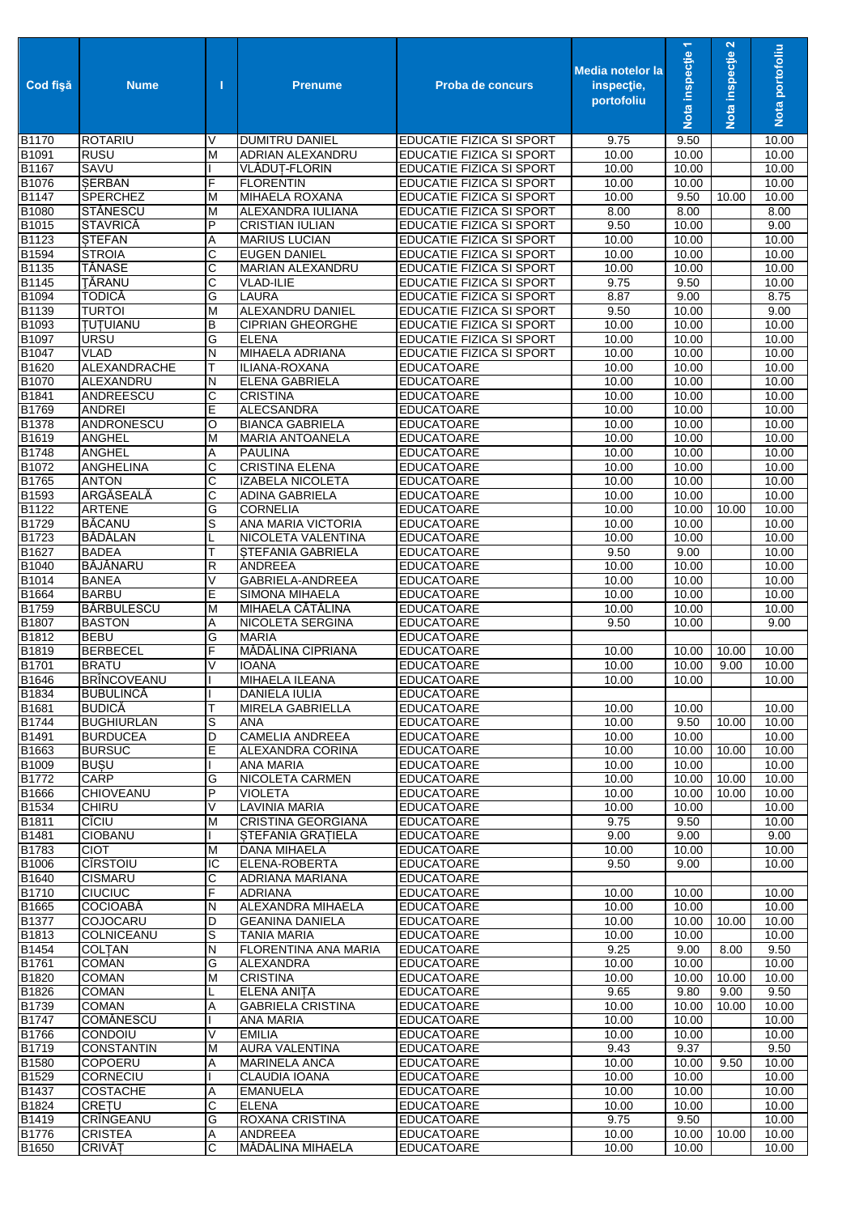| Cod fişă              | <b>Nume</b>                        | т      | <b>Prenume</b>                                   | <b>Proba de concurs</b>                              | <b>Media notelor la</b><br>inspectie,<br>portofoliu | Nota inspecție 1 | Nota inspecție 2 | Nota portofoliu |
|-----------------------|------------------------------------|--------|--------------------------------------------------|------------------------------------------------------|-----------------------------------------------------|------------------|------------------|-----------------|
| B1170                 | <b>ROTARIU</b>                     | V      | <b>DUMITRU DANIEL</b>                            | EDUCATIE FIZICA SI SPORT                             | 9.75                                                | 9.50             |                  | 10.00           |
| B1091                 | <b>RUSU</b>                        | М      | ADRIAN ALEXANDRU                                 | EDUCATIE FIZICA SI SPORT                             | 10.00                                               | 10.00            |                  | 10.00           |
| B1167                 | <b>SAVU</b>                        |        | VLĂDUȚ-FLORIN                                    | EDUCATIE FIZICA SI SPORT                             | 10.00                                               | 10.00            |                  | 10.00           |
| B1076<br><b>B1147</b> | <b>SERBAN</b><br><b>SPERCHEZ</b>   | F      | <b>FLORENTIN</b><br><b>MIHAELA ROXANA</b>        | EDUCATIE FIZICA SI SPORT                             | 10.00<br>10.00                                      | 10.00<br>9.50    |                  | 10.00<br>10.00  |
| B1080                 | STĂNESCU                           | M<br>M | ALEXANDRA IULIANA                                | EDUCATIE FIZICA SI SPORT<br>EDUCATIE FIZICA SI SPORT | 8.00                                                | 8.00             | 10.00            | 8.00            |
| B1015                 | <b>STAVRICĂ</b>                    | P      | <b>CRISTIAN IULIAN</b>                           | <b>EDUCATIE FIZICA SI SPORT</b>                      | 9.50                                                | 10.00            |                  | 9.00            |
| B1123                 | <b>STEFAN</b>                      | Α      | <b>MARIUS LUCIAN</b>                             | <b>EDUCATIE FIZICA SI SPORT</b>                      | 10.00                                               | 10.00            |                  | 10.00           |
| B1594                 | <b>STROIA</b>                      | С      | <b>EUGEN DANIEL</b>                              | EDUCATIE FIZICA SI SPORT                             | 10.00                                               | 10.00            |                  | 10.00           |
| B1135                 | TĂNASE                             | C      | MARIAN ALEXANDRU                                 | <b>EDUCATIE FIZICA SI SPORT</b>                      | 10.00                                               | 10.00            |                  | 10.00           |
| B1145                 | TĂRANU                             | С      | <b>VLAD-ILIE</b>                                 | EDUCATIE FIZICA SI SPORT                             | 9.75                                                | 9.50             |                  | 10.00           |
| B1094                 | <b>TODICĂ</b>                      | G      | LAURA                                            | <b>EDUCATIE FIZICA SI SPORT</b>                      | 8.87                                                | 9.00             |                  | 8.75            |
| B1139                 | <b>TURTOI</b>                      | М      | <b>ALEXANDRU DANIEL</b>                          | EDUCATIE FIZICA SI SPORT                             | 9.50                                                | 10.00            |                  | 9.00            |
| B1093<br>B1097        | <b>TUTUIANU</b><br><b>URSU</b>     | В<br>G | <b>CIPRIAN GHEORGHE</b><br><b>ELENA</b>          | EDUCATIE FIZICA SI SPORT<br>EDUCATIE FIZICA SI SPORT | 10.00<br>10.00                                      | 10.00<br>10.00   |                  | 10.00<br>10.00  |
| B1047                 | <b>VLAD</b>                        | N      | MIHAELA ADRIANA                                  | <b>EDUCATIE FIZICA SI SPORT</b>                      | 10.00                                               | 10.00            |                  | 10.00           |
| B1620                 | ALEXANDRACHE                       | т      | ILIANA-ROXANA                                    | <b>EDUCATOARE</b>                                    | 10.00                                               | 10.00            |                  | 10.00           |
| B1070                 | ALEXANDRU                          | N      | <b>ELENA GABRIELA</b>                            | <b>EDUCATOARE</b>                                    | 10.00                                               | 10.00            |                  | 10.00           |
| B1841                 | ANDREESCU                          | С      | <b>CRISTINA</b>                                  | <b>EDUCATOARE</b>                                    | 10.00                                               | 10.00            |                  | 10.00           |
| B1769                 | <b>ANDREI</b>                      | E      | <b>ALECSANDRA</b>                                | <b>EDUCATOARE</b>                                    | 10.00                                               | 10.00            |                  | 10.00           |
| B1378                 | ANDRONESCU                         | O      | <b>BIANCA GABRIELA</b>                           | <b>EDUCATOARE</b>                                    | 10.00                                               | 10.00            |                  | 10.00           |
| B1619                 | <b>ANGHEL</b>                      | M      | <b>MARIA ANTOANELA</b>                           | <b>EDUCATOARE</b>                                    | 10.00                                               | 10.00            |                  | 10.00           |
| B1748                 | ANGHEL                             | Α      | <b>PAULINA</b>                                   | <b>EDUCATOARE</b>                                    | 10.00                                               | 10.00            |                  | 10.00           |
| B1072                 | <b>ANGHELINA</b>                   | C      | <b>CRISTINA ELENA</b>                            | <b>EDUCATOARE</b>                                    | 10.00                                               | 10.00            |                  | 10.00           |
| B1765<br>B1593        | <b>ANTON</b><br>ARGĂSEALĂ          | С<br>C | <b>IZABELA NICOLETA</b><br><b>ADINA GABRIELA</b> | <b>EDUCATOARE</b><br><b>EDUCATOARE</b>               | 10.00<br>10.00                                      | 10.00<br>10.00   |                  | 10.00<br>10.00  |
| B1122                 | <b>ARTENE</b>                      | G      | <b>CORNELIA</b>                                  | <b>EDUCATOARE</b>                                    | 10.00                                               | 10.00            | 10.00            | 10.00           |
| B1729                 | <b>BĂCANU</b>                      | S      | ANA MARIA VICTORIA                               | <b>EDUCATOARE</b>                                    | 10.00                                               | 10.00            |                  | 10.00           |
| B1723                 | BĂDĂLAN                            |        | NICOLETA VALENTINA                               | <b>EDUCATOARE</b>                                    | 10.00                                               | 10.00            |                  | 10.00           |
| B1627                 | <b>BADEA</b>                       | т      | <b>STEFANIA GABRIELA</b>                         | <b>EDUCATOARE</b>                                    | 9.50                                                | 9.00             |                  | 10.00           |
| B1040                 | <b>BĂJĂNARU</b>                    | R      | <b>ANDREEA</b>                                   | <b>EDUCATOARE</b>                                    | 10.00                                               | 10.00            |                  | 10.00           |
| B1014                 | <b>BANEA</b>                       | V      | GABRIELA-ANDREEA                                 | <b>EDUCATOARE</b>                                    | 10.00                                               | 10.00            |                  | 10.00           |
| B1664                 | <b>BARBU</b>                       | E      | <b>SIMONA MIHAELA</b>                            | <b>EDUCATOARE</b>                                    | 10.00                                               | 10.00            |                  | 10.00           |
| B1759<br>B1807        | <b>BĂRBULESCU</b><br><b>BASTON</b> | M<br>Α | MIHAELA CĂTĂLINA<br><b>NICOLETA SERGINA</b>      | <b>EDUCATOARE</b><br><b>EDUCATOARE</b>               | 10.00<br>9.50                                       | 10.00<br>10.00   |                  | 10.00<br>9.00   |
| B1812                 | <b>BEBU</b>                        | G      | <b>MARIA</b>                                     | <b>EDUCATOARE</b>                                    |                                                     |                  |                  |                 |
| B1819                 | <b>BERBECEL</b>                    | F      | MĂDĂLINA CIPRIANA                                | <b>EDUCATOARE</b>                                    | 10.00                                               | 10.00            | 10.00            | 10.00           |
| B1701                 | <b>BRATU</b>                       | V      | <b>IOANA</b>                                     | <b>EDUCATOARE</b>                                    | 10.00                                               | 10.00            | 9.00             | 10.00           |
| B1646                 | <b>BRÎNCOVEANU</b>                 |        | <b>MIHAELA ILEANA</b>                            | <b>EDUCATOARE</b>                                    | 10.00                                               | 10.00            |                  | 10.00           |
| B1834                 | <b>BUBULINCĂ</b>                   |        | DANIELA IULIA                                    | <b>EDUCATOARE</b>                                    |                                                     |                  |                  |                 |
| B1681                 | <b>BUDICĂ</b>                      | Т      | MIRELA GABRIELLA                                 | <b>EDUCATOARE</b>                                    | 10.00                                               | 10.00            |                  | 10.00           |
| B1744                 | <b>BUGHIURLAN</b>                  | S      | ANA                                              | <b>EDUCATOARE</b>                                    | 10.00                                               | 9.50             | 10.00            | 10.00           |
| B1491                 | <b>BURDUCEA</b>                    | D      | <b>CAMELIA ANDREEA</b>                           | <b>EDUCATOARE</b>                                    | 10.00                                               | 10.00            |                  | 10.00           |
| B1663<br>B1009        | <b>BURSUC</b><br><b>BUSU</b>       | E      | ALEXANDRA CORINA<br>ANA MARIA                    | <b>EDUCATOARE</b><br><b>EDUCATOARE</b>               | 10.00<br>10.00                                      | 10.00<br>10.00   | 10.00            | 10.00<br>10.00  |
| B1772                 | CARP                               | G      | NICOLETA CARMEN                                  | <b>EDUCATOARE</b>                                    | 10.00                                               | 10.00            | 10.00            | 10.00           |
| B1666                 | <b>CHIOVEANU</b>                   | P      | <b>VIOLETA</b>                                   | <b>EDUCATOARE</b>                                    | 10.00                                               | 10.00            | 10.00            | 10.00           |
| B1534                 | <b>CHIRU</b>                       | V      | <b>LAVINIA MARIA</b>                             | <b>EDUCATOARE</b>                                    | 10.00                                               | 10.00            |                  | 10.00           |
| B1811                 | <b>CICIU</b>                       | М      | <b>CRISTINA GEORGIANA</b>                        | <b>EDUCATOARE</b>                                    | 9.75                                                | 9.50             |                  | 10.00           |
| B1481                 | <b>CIOBANU</b>                     |        | STEFANIA GRATIELA                                | <b>EDUCATOARE</b>                                    | 9.00                                                | 9.00             |                  | 9.00            |
| B1783                 | <b>CIOT</b>                        | М      | <b>DANA MIHAELA</b>                              | <b>EDUCATOARE</b>                                    | 10.00                                               | 10.00            |                  | 10.00           |
| B1006                 | <b>CIRSTOIU</b>                    | IC     | ELENA-ROBERTA                                    | <b>EDUCATOARE</b>                                    | 9.50                                                | 9.00             |                  | 10.00           |
| B1640<br>B1710        | <b>CISMARU</b><br><b>CIUCIUC</b>   | С<br>F | ADRIANA MARIANA<br>ADRIANA                       | <b>EDUCATOARE</b><br><b>EDUCATOARE</b>               | 10.00                                               | 10.00            |                  | 10.00           |
| B1665                 | <b>COCIOABĂ</b>                    | Ν      | ALEXANDRA MIHAELA                                | <b>EDUCATOARE</b>                                    | 10.00                                               | 10.00            |                  | 10.00           |
| B1377                 | COJOCARU                           | D      | <b>GEANINA DANIELA</b>                           | <b>EDUCATOARE</b>                                    | 10.00                                               | 10.00            | 10.00            | 10.00           |
| B1813                 | COLNICEANU                         | S      | <b>TANIA MARIA</b>                               | <b>EDUCATOARE</b>                                    | 10.00                                               | 10.00            |                  | 10.00           |
| B1454                 | <b>COLTAN</b>                      | Ν      | FLORENTINA ANA MARIA                             | <b>EDUCATOARE</b>                                    | 9.25                                                | 9.00             | 8.00             | 9.50            |
| B1761                 | COMAN                              | G      | ALEXANDRA                                        | <b>EDUCATOARE</b>                                    | 10.00                                               | 10.00            |                  | 10.00           |
| B1820                 | <b>COMAN</b>                       | M      | <b>CRISTINA</b>                                  | <b>EDUCATOARE</b>                                    | 10.00                                               | 10.00            | 10.00            | 10.00           |
| B1826                 | <b>COMAN</b>                       | L      | ELENA ANITA                                      | <b>EDUCATOARE</b>                                    | 9.65                                                | 9.80             | 9.00             | 9.50            |
| B1739                 | <b>COMAN</b>                       | Α      | <b>GABRIELA CRISTINA</b>                         | <b>EDUCATOARE</b>                                    | 10.00<br>10.00                                      | 10.00            | 10.00            | 10.00<br>10.00  |
| B1747<br>B1766        | <b>COMĂNESCU</b><br>CONDOIU        | V      | ANA MARIA<br><b>EMILIA</b>                       | <b>EDUCATOARE</b><br><b>EDUCATOARE</b>               | 10.00                                               | 10.00<br>10.00   |                  | 10.00           |
| B1719                 | <b>CONSTANTIN</b>                  | М      | <b>AURA VALENTINA</b>                            | <b>EDUCATOARE</b>                                    | 9.43                                                | 9.37             |                  | 9.50            |
| B1580                 | COPOERU                            | Α      | MARINELA ANCA                                    | <b>EDUCATOARE</b>                                    | 10.00                                               | 10.00            | 9.50             | 10.00           |
| B1529                 | CORNECIU                           |        | CLAUDIA IOANA                                    | <b>EDUCATOARE</b>                                    | 10.00                                               | 10.00            |                  | 10.00           |
| B1437                 | <b>COSTACHE</b>                    | Α      | <b>EMANUELA</b>                                  | <b>EDUCATOARE</b>                                    | 10.00                                               | 10.00            |                  | 10.00           |
| B1824                 | <b>CRETU</b>                       | С      | <b>ELENA</b>                                     | <b>EDUCATOARE</b>                                    | 10.00                                               | 10.00            |                  | 10.00           |
| B1419                 | CRÎNGEANU                          | G      | ROXANA CRISTINA                                  | <b>EDUCATOARE</b>                                    | 9.75                                                | 9.50             |                  | 10.00           |
| B1776                 | <b>CRISTEA</b>                     | Α      | ANDREEA                                          | <b>EDUCATOARE</b>                                    | 10.00                                               | 10.00            | 10.00            | 10.00           |
| B1650                 | <b>CRIVĂȚ</b>                      | С      | MĂDĂLINA MIHAELA                                 | <b>EDUCATOARE</b>                                    | 10.00                                               | 10.00            |                  | 10.00           |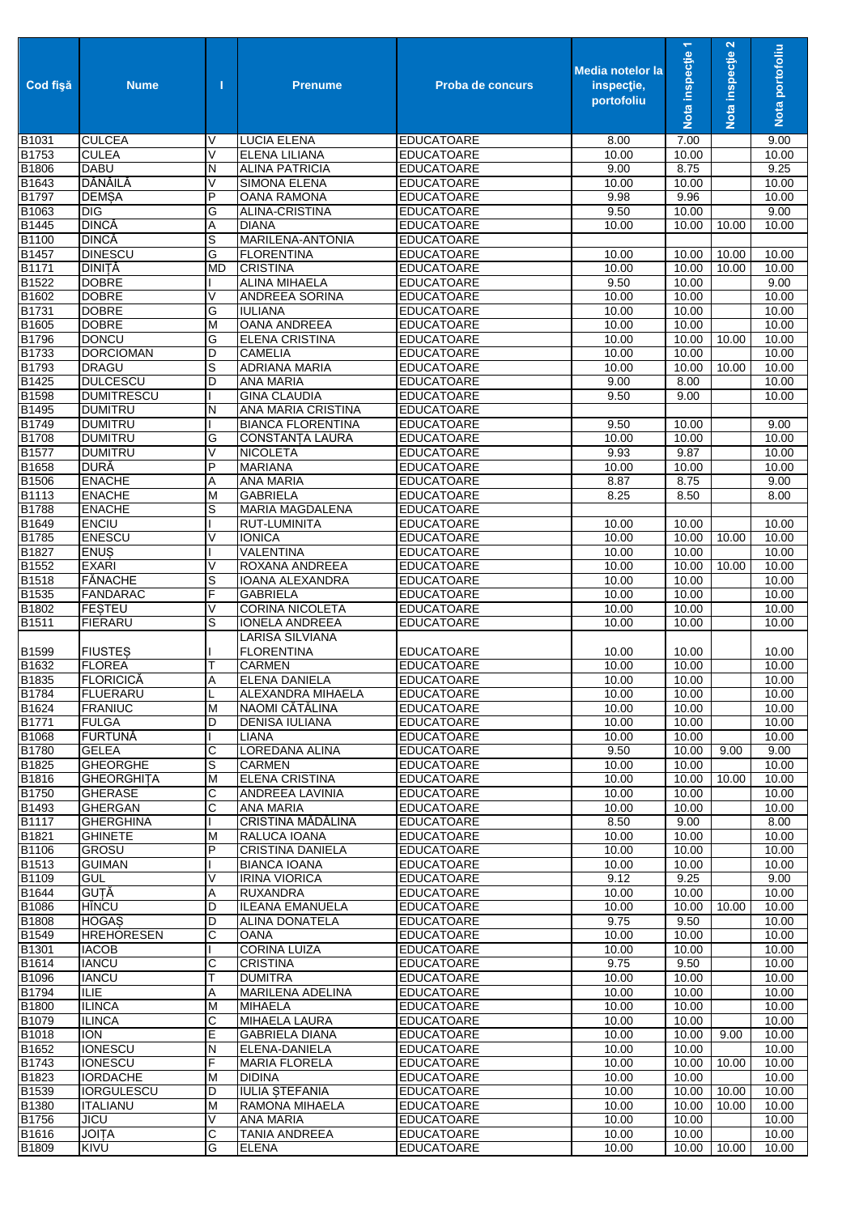| Cod fişă          | <b>Nume</b>                   | п         | <b>Prenume</b>                          | Proba de concurs                       | <b>Media notelor la</b><br>inspectie,<br>portofoliu | Nota inspecție 1 | Nota inspecție 2 | Nota portofoliu |
|-------------------|-------------------------------|-----------|-----------------------------------------|----------------------------------------|-----------------------------------------------------|------------------|------------------|-----------------|
| <b>B1031</b>      | <b>CULCEA</b>                 | V         | <b>LUCIA ELENA</b>                      | <b>EDUCATOARE</b>                      | 8.00                                                | 7.00             |                  | 9.00            |
| B1753             | <b>CULEA</b>                  | V         | <b>ELENA LILIANA</b>                    | <b>EDUCATOARE</b>                      | 10.00                                               | 10.00            |                  | 10.00           |
| B1806             | <b>DABU</b>                   | N         | <b>ALINA PATRICIA</b>                   | <b>EDUCATOARE</b>                      | 9.00                                                | 8.75             |                  | 9.25            |
| B1643             | DĂNĂILĂ                       | $\vee$    | <b>SIMONA ELENA</b>                     | <b>EDUCATOARE</b>                      | 10.00                                               | 10.00            |                  | 10.00           |
| B1797             | <b>DEMSA</b>                  | P         | <b>OANA RAMONA</b>                      | <b>EDUCATOARE</b>                      | 9.98                                                | 9.96             |                  | 10.00           |
| B1063             | DIG                           | G         | ALINA-CRISTINA                          | <b>EDUCATOARE</b>                      | 9.50                                                | 10.00            |                  | 9.00            |
| B1445             | <b>DINCĂ</b>                  | Α         | <b>DIANA</b>                            | <b>EDUCATOARE</b>                      | 10.00                                               | 10.00            | 10.00            | 10.00           |
| B1100             | <b>DINCĂ</b>                  | S         | MARILENA-ANTONIA                        | <b>EDUCATOARE</b>                      |                                                     |                  |                  |                 |
| B1457             | <b>DINESCU</b>                | G         | <b>FLORENTINA</b>                       | <b>EDUCATOARE</b>                      | 10.00                                               | 10.00            | 10.00            | 10.00           |
| B1171             | <b>DINITĂ</b>                 | <b>MD</b> | <b>CRISTINA</b>                         | <b>EDUCATOARE</b>                      | 10.00                                               | 10.00            | 10.00            | 10.00           |
| B1522<br>B1602    | <b>DOBRE</b>                  | V         | <b>ALINA MIHAELA</b>                    | <b>EDUCATOARE</b>                      | 9.50                                                | 10.00            |                  | 9.00            |
| B1731             | <b>DOBRE</b>                  | G         | ANDREEA SORINA<br><b>IULIANA</b>        | <b>EDUCATOARE</b>                      | 10.00<br>10.00                                      | 10.00<br>10.00   |                  | 10.00<br>10.00  |
| B1605             | <b>DOBRE</b><br><b>DOBRE</b>  | M         | <b>OANA ANDREEA</b>                     | <b>EDUCATOARE</b><br><b>EDUCATOARE</b> | 10.00                                               | 10.00            |                  | 10.00           |
| B1796             | <b>DONCU</b>                  | G         | <b>ELENA CRISTINA</b>                   | <b>EDUCATOARE</b>                      | 10.00                                               | 10.00            | 10.00            | 10.00           |
| B1733             | <b>DORCIOMAN</b>              | D         | <b>CAMELIA</b>                          | <b>EDUCATOARE</b>                      | 10.00                                               | 10.00            |                  | 10.00           |
| B1793             | <b>DRAGU</b>                  | S         | <b>ADRIANA MARIA</b>                    | <b>EDUCATOARE</b>                      | 10.00                                               | 10.00            | 10.00            | 10.00           |
| B1425             | <b>DULCESCU</b>               | D         | <b>ANA MARIA</b>                        | <b>EDUCATOARE</b>                      | 9.00                                                | 8.00             |                  | 10.00           |
| B1598             | <b>DUMITRESCU</b>             |           | <b>GINA CLAUDIA</b>                     | <b>EDUCATOARE</b>                      | 9.50                                                | 9.00             |                  | 10.00           |
| B1495             | <b>DUMITRU</b>                | N         | ANA MARIA CRISTINA                      | <b>EDUCATOARE</b>                      |                                                     |                  |                  |                 |
| B1749             | <b>DUMITRU</b>                |           | <b>BIANCA FLORENTINA</b>                | <b>EDUCATOARE</b>                      | 9.50                                                | 10.00            |                  | 9.00            |
| <b>B1708</b>      | <b>DUMITRU</b>                | G         | CONSTANȚA LAURA                         | <b>EDUCATOARE</b>                      | 10.00                                               | 10.00            |                  | 10.00           |
| <b>B1577</b>      | <b>DUMITRU</b>                | V         | <b>NICOLETA</b>                         | <b>EDUCATOARE</b>                      | 9.93                                                | 9.87             |                  | 10.00           |
| <b>B1658</b>      | <b>DURĂ</b>                   | P         | <b>MARIANA</b>                          | <b>EDUCATOARE</b>                      | 10.00                                               | 10.00            |                  | 10.00           |
| B1506             | <b>ENACHE</b>                 | Α         | <b>ANA MARIA</b>                        | <b>EDUCATOARE</b>                      | 8.87                                                | 8.75             |                  | 9.00            |
| B1113             | <b>ENACHE</b>                 | M         | <b>GABRIELA</b>                         | <b>EDUCATOARE</b>                      | 8.25                                                | 8.50             |                  | 8.00            |
| <b>B1788</b>      | <b>ENACHE</b>                 | S         | MARIA MAGDALENA                         | <b>EDUCATOARE</b>                      |                                                     |                  |                  |                 |
| B1649             | <b>ENCIU</b>                  |           | RUT-LUMINITA                            | <b>EDUCATOARE</b>                      | 10.00                                               | 10.00            |                  | 10.00           |
| B1785             | <b>ENESCU</b>                 | $\vee$    | <b>IONICA</b>                           | <b>EDUCATOARE</b>                      | 10.00                                               | 10.00            | 10.00            | 10.00           |
| <b>B1827</b>      | <b>ENUS</b>                   |           | VALENTINA                               | <b>EDUCATOARE</b>                      | 10.00                                               | 10.00            |                  | 10.00           |
| B1552             | <b>EXARI</b>                  | V         | ROXANA ANDREEA                          | <b>EDUCATOARE</b>                      | 10.00                                               | 10.00            | 10.00            | 10.00           |
| B1518             | <b>FĂNACHE</b>                | S         | IOANA ALEXANDRA                         | <b>EDUCATOARE</b>                      | 10.00                                               | 10.00            |                  | 10.00           |
| B1535             | <b>FANDARAC</b>               | F         | <b>GABRIELA</b>                         | <b>EDUCATOARE</b>                      | 10.00                                               | 10.00            |                  | 10.00           |
| B1802             | <b>FESTEU</b>                 | V         | <b>CORINA NICOLETA</b>                  | <b>EDUCATOARE</b>                      | 10.00                                               | 10.00            |                  | 10.00           |
| B1511             | <b>FIERARU</b>                | S         | <b>IONELA ANDREEA</b>                   | <b>EDUCATOARE</b>                      | 10.00                                               | 10.00            |                  | 10.00           |
|                   |                               |           | LARISA SILVIANA                         |                                        |                                                     |                  |                  |                 |
| B1599             | <b>FIUSTES</b>                |           | <b>FLORENTINA</b>                       | <b>EDUCATOARE</b>                      | 10.00                                               | 10.00            |                  | 10.00           |
| B <sub>1632</sub> | <b>FLOREA</b>                 | т         | <b>CARMEN</b>                           | <b>EDUCATOARE</b>                      | 10.00                                               | 10.00            |                  | 10.00           |
| B1835             | <b>FLORICICĂ</b>              | A         | <b>ELENA DANIELA</b>                    | <b>EDUCATOARE</b>                      | 10.00                                               | 10.00            |                  | 10.00           |
| B1784             | FLUERARU                      | L         | ALEXANDRA MIHAELA                       | <b>EDUCATOARE</b>                      | 10.00                                               | 10.00            |                  | 10.00           |
| B1624             | <b>FRANIUC</b>                | M         | NAOMI CĂTĂLINA                          | <b>EDUCATOARE</b>                      | 10.00                                               | 10.00            |                  | 10.00           |
| B1771             | <b>FULGA</b>                  | D         | DENISA IULIANA                          | <b>EDUCATOARE</b>                      | 10.00                                               | 10.00            |                  | 10.00           |
| <b>B1068</b>      | <b>FURTUNĂ</b>                |           | <b>LIANA</b>                            | <b>EDUCATOARE</b>                      | 10.00                                               | 10.00            |                  | 10.00           |
| <b>B1780</b>      | <b>GELEA</b>                  | C         | LOREDANA ALINA                          | <b>EDUCATOARE</b>                      | 9.50                                                | 10.00            | 9.00             | 9.00            |
| B1825             | <b>GHEORGHE</b>               | S         | <b>CARMEN</b>                           | <b>EDUCATOARE</b>                      | 10.00                                               | 10.00            |                  | 10.00           |
| B1816             | <b>GHEORGHITA</b>             | M         | <b>ELENA CRISTINA</b>                   | <b>EDUCATOARE</b>                      | 10.00                                               | 10.00            | 10.00            | 10.00           |
| <b>B1750</b>      | <b>GHERASE</b>                | C         | ANDREEA LAVINIA                         | <b>EDUCATOARE</b>                      | 10.00                                               | 10.00            |                  | 10.00           |
| B1493             | <b>GHERGAN</b>                | С         | ANA MARIA                               | <b>EDUCATOARE</b>                      | 10.00                                               | 10.00            |                  | 10.00           |
| <b>B1117</b>      | <b>GHERGHINA</b>              |           | CRISTINA MĂDĂLINA                       | <b>EDUCATOARE</b>                      | 8.50                                                | 9.00             |                  | 8.00            |
| B1821<br>B1106    | <b>GHINETE</b>                | M<br>P    | RALUCA IOANA<br><b>CRISTINA DANIELA</b> | <b>EDUCATOARE</b>                      | 10.00                                               | 10.00            |                  | 10.00           |
| B1513             | <b>GROSU</b><br><b>GUIMAN</b> |           | <b>BIANCA IOANA</b>                     | <b>EDUCATOARE</b><br><b>EDUCATOARE</b> | 10.00<br>10.00                                      | 10.00<br>10.00   |                  | 10.00<br>10.00  |
| B1109             | <b>GUL</b>                    | V         | <b>IRINA VIORICA</b>                    | <b>EDUCATOARE</b>                      | 9.12                                                | 9.25             |                  | 9.00            |
| B1644             | <b>GUTĂ</b>                   | Α         | <b>RUXANDRA</b>                         | <b>EDUCATOARE</b>                      | 10.00                                               | 10.00            |                  | 10.00           |
| B1086             | HÎNCU                         | D         | <b>ILEANA EMANUELA</b>                  | <b>EDUCATOARE</b>                      | 10.00                                               | 10.00            | 10.00            | 10.00           |
| B1808             | <b>HOGAS</b>                  | D         | <b>ALINA DONATELA</b>                   | <b>EDUCATOARE</b>                      | 9.75                                                | 9.50             |                  | 10.00           |
| B1549             | <b>HREHORESEN</b>             | C         | <b>OANA</b>                             | <b>EDUCATOARE</b>                      | 10.00                                               | 10.00            |                  | 10.00           |
| <b>B1301</b>      | <b>IACOB</b>                  |           | <b>CORINA LUIZA</b>                     | <b>EDUCATOARE</b>                      | 10.00                                               | 10.00            |                  | 10.00           |
| B1614             | <b>IANCU</b>                  | С         | <b>CRISTINA</b>                         | <b>EDUCATOARE</b>                      | 9.75                                                | 9.50             |                  | 10.00           |
| B1096             | <b>IANCU</b>                  | Т         | <b>DUMITRA</b>                          | <b>EDUCATOARE</b>                      | 10.00                                               | 10.00            |                  | 10.00           |
| B1794             | ILIE                          | Α         | MARILENA ADELINA                        | <b>EDUCATOARE</b>                      | 10.00                                               | 10.00            |                  | 10.00           |
| B1800             | <b>ILINCA</b>                 | M         | <b>MIHAELA</b>                          | <b>EDUCATOARE</b>                      | 10.00                                               | 10.00            |                  | 10.00           |
| B1079             | <b>ILINCA</b>                 | C         | MIHAELA LAURA                           | <b>EDUCATOARE</b>                      | 10.00                                               | 10.00            |                  | 10.00           |
| B1018             | <b>ION</b>                    | Е         | <b>GABRIELA DIANA</b>                   | <b>EDUCATOARE</b>                      | 10.00                                               | 10.00            | 9.00             | 10.00           |
| B1652             | <b>IONESCU</b>                | N         | ELENA-DANIELA                           | <b>EDUCATOARE</b>                      | 10.00                                               | 10.00            |                  | 10.00           |
| B1743             | <b>IONESCU</b>                | F         | <b>MARIA FLORELA</b>                    | <b>EDUCATOARE</b>                      | 10.00                                               | 10.00            | 10.00            | 10.00           |
| B1823             | <b>IORDACHE</b>               | M         | <b>DIDINA</b>                           | <b>EDUCATOARE</b>                      | 10.00                                               | 10.00            |                  | 10.00           |
| B1539             | <b>IORGULESCU</b>             | D         | <b>IULIA STEFANIA</b>                   | <b>EDUCATOARE</b>                      | 10.00                                               | 10.00            | 10.00            | 10.00           |
| B1380             | <b>ITALIANU</b>               | M         | RAMONA MIHAELA                          | <b>EDUCATOARE</b>                      | 10.00                                               | 10.00            | 10.00            | 10.00           |
| B1756             | <b>JICU</b>                   | V         | <b>ANA MARIA</b>                        | <b>EDUCATOARE</b>                      | 10.00                                               | 10.00            |                  | 10.00           |
| B1616             | <b>JOITA</b>                  | С         | <b>TANIA ANDREEA</b>                    | <b>EDUCATOARE</b>                      | 10.00                                               | 10.00            |                  | 10.00           |
| <b>B1809</b>      | KIVU                          | G         | <b>ELENA</b>                            | <b>EDUCATOARE</b>                      | 10.00                                               | 10.00 10.00      |                  | 10.00           |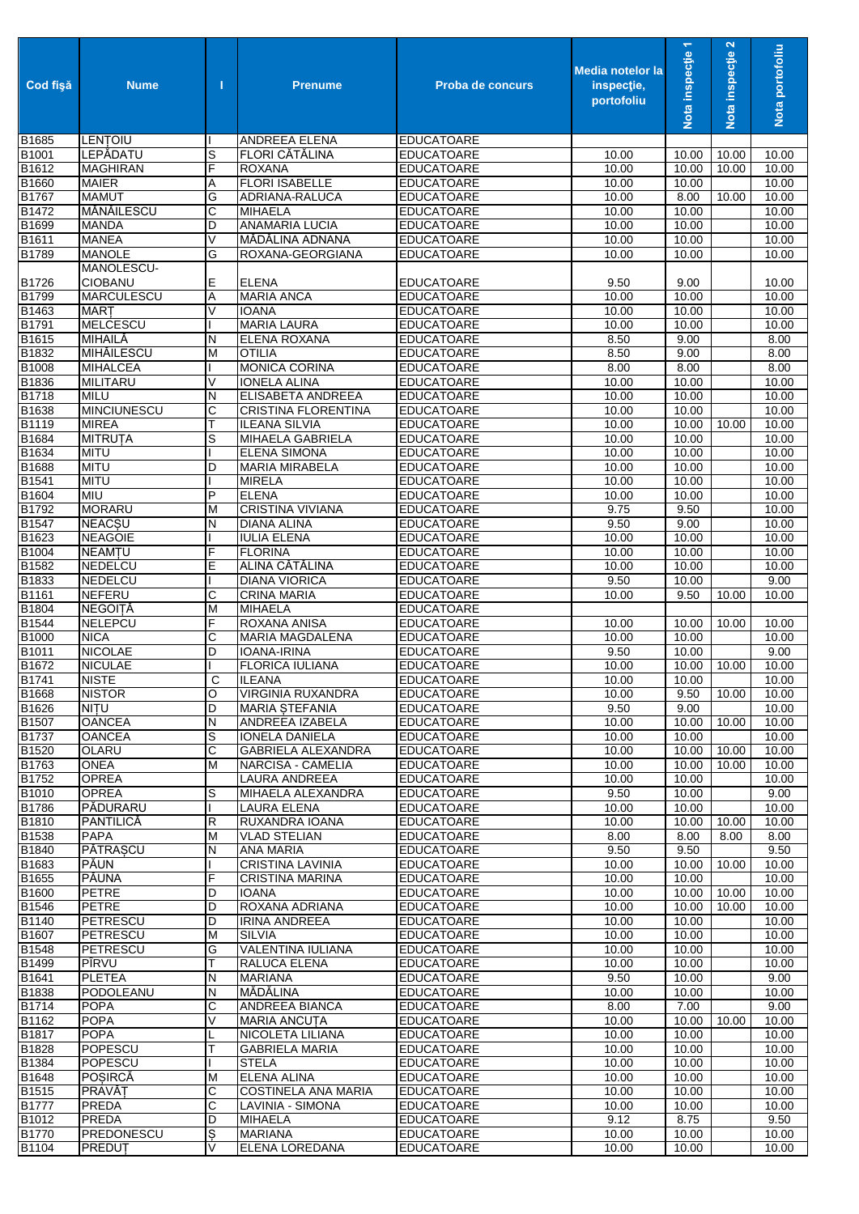| Cod fisă       | <b>Nume</b>                  | Т      | <b>Prenume</b>                           | <b>Proba de concurs</b>                | <b>Media notelor la</b><br>inspectie,<br>portofoliu | Nota inspecție 1 | Nota inspecție 2 | Nota portofoliu |
|----------------|------------------------------|--------|------------------------------------------|----------------------------------------|-----------------------------------------------------|------------------|------------------|-----------------|
| B1685          | LENTOIU                      |        | ANDREEA ELENA                            | <b>EDUCATOARE</b>                      |                                                     |                  |                  |                 |
| B1001          | LEPĂDATU                     | S      | FLORI CĂTĂLINA                           | <b>EDUCATOARE</b>                      | 10.00                                               | 10.00            | 10.00            | 10.00           |
| B1612          | <b>MAGHIRAN</b>              | F      | <b>ROXANA</b>                            | <b>EDUCATOARE</b>                      | 10.00                                               | 10.00            | 10.00            | 10.00           |
| B1660          | <b>MAIER</b>                 | Α      | <b>FLORI ISABELLE</b>                    | <b>EDUCATOARE</b>                      | 10.00                                               | 10.00            |                  | 10.00           |
| B1767          | <b>MAMUT</b>                 | G      | ADRIANA-RALUCA                           | <b>EDUCATOARE</b>                      | 10.00                                               | 8.00             | 10.00            | 10.00           |
| B1472          | MĂNĂILESCU                   | С      | <b>MIHAELA</b>                           | <b>EDUCATOARE</b>                      | 10.00                                               | 10.00            |                  | 10.00           |
| B1699          | <b>MANDA</b>                 | D      | <b>ANAMARIA LUCIA</b>                    | <b>EDUCATOARE</b>                      | 10.00                                               | 10.00            |                  | 10.00           |
| B1611          | <b>MANEA</b>                 | V      | MĂDĂLINA ADNANA                          | <b>EDUCATOARE</b>                      | 10.00                                               | 10.00            |                  | 10.00           |
| B1789          | <b>MANOLE</b><br>MANOLESCU-  | G      | ROXANA-GEORGIANA                         | <b>EDUCATOARE</b>                      | 10.00                                               | 10.00            |                  | 10.00           |
| B1726          | CIOBANU                      | Е      | <b>ELENA</b>                             | <b>EDUCATOARE</b>                      | 9.50                                                | 9.00             |                  | 10.00           |
| B1799          | <b>MARCULESCU</b>            | Α      | <b>MARIA ANCA</b>                        | <b>EDUCATOARE</b>                      | 10.00                                               | 10.00            |                  | 10.00           |
| B1463          | <b>MART</b>                  | V      | <b>IOANA</b>                             | <b>EDUCATOARE</b>                      | 10.00                                               | 10.00            |                  | 10.00           |
| B1791          | <b>MELCESCU</b>              |        | <b>MARIA LAURA</b>                       | <b>EDUCATOARE</b>                      | 10.00                                               | 10.00            |                  | 10.00           |
| B1615          | MIHAILĂ                      | N      | ELENA ROXANA                             | <b>EDUCATOARE</b>                      | 8.50                                                | 9.00             |                  | 8.00            |
| B1832          | <b>MIHĂILESCU</b>            | М      | <b>OTILIA</b>                            | <b>EDUCATOARE</b>                      | 8.50                                                | 9.00             |                  | 8.00            |
| B1008          | <b>MIHALCEA</b>              |        | <b>MONICA CORINA</b>                     | <b>EDUCATOARE</b>                      | 8.00                                                | 8.00             |                  | 8.00            |
| B1836          | <b>MILITARU</b>              | V      | <b>IONELA ALINA</b>                      | <b>EDUCATOARE</b>                      | 10.00                                               | 10.00            |                  | 10.00           |
| B1718          | <b>MILU</b>                  | N      | <b>ELISABETA ANDREEA</b>                 | <b>EDUCATOARE</b>                      | 10.00                                               | 10.00            |                  | 10.00           |
| B1638          | <b>MINCIUNESCU</b>           | С      | <b>CRISTINA FLORENTINA</b>               | <b>EDUCATOARE</b>                      | 10.00                                               | 10.00            |                  | 10.00           |
| B1119          | <b>MIREA</b>                 | Т      | <b>ILEANA SILVIA</b>                     | <b>EDUCATOARE</b>                      | 10.00                                               | 10.00            | 10.00            | 10.00           |
| B1684          | <b>MITRUTA</b>               | S      | MIHAELA GABRIELA                         | <b>EDUCATOARE</b>                      | 10.00                                               | 10.00            |                  | 10.00           |
| <b>B1634</b>   | <b>MITU</b>                  |        | <b>ELENA SIMONA</b>                      | <b>EDUCATOARE</b>                      | 10.00                                               | 10.00            |                  | 10.00           |
| B1688          | <b>MITU</b>                  | D      | <b>MARIA MIRABELA</b>                    | <b>EDUCATOARE</b>                      | 10.00                                               | 10.00            |                  | 10.00           |
| B1541          | <b>MITU</b>                  |        | <b>MIRELA</b>                            | <b>EDUCATOARE</b>                      | 10.00                                               | 10.00            |                  | 10.00           |
| B1604          | <b>MIU</b>                   | P      | <b>ELENA</b>                             | <b>EDUCATOARE</b>                      | 10.00                                               | 10.00            |                  | 10.00           |
| B1792          | <b>MORARU</b>                | M      | <b>CRISTINA VIVIANA</b>                  | <b>EDUCATOARE</b>                      | 9.75                                                | 9.50             |                  | 10.00           |
| B1547          | <b>NEACSU</b>                | N      | <b>DIANA ALINA</b>                       | <b>EDUCATOARE</b>                      | 9.50                                                | 9.00             |                  | 10.00           |
| B1623          | <b>NEAGOIE</b>               |        | <b>IULIA ELENA</b>                       | <b>EDUCATOARE</b>                      | 10.00                                               | 10.00            |                  | 10.00           |
| B1004          | <b>NEAMTU</b>                | F      | <b>FLORINA</b>                           | <b>EDUCATOARE</b>                      | 10.00                                               | 10.00            |                  | 10.00           |
| B1582          | NEDELCU                      | E      | ALINA CĂTĂLINA                           | <b>EDUCATOARE</b>                      | $\overline{10.00}$                                  | 10.00            |                  | 10.00           |
| B1833          | <b>NEDELCU</b>               |        | <b>DIANA VIORICA</b>                     | <b>EDUCATOARE</b>                      | 9.50                                                | 10.00            |                  | 9.00            |
| B1161          | <b>NEFERU</b>                | С      | <b>CRINA MARIA</b>                       | <b>EDUCATOARE</b>                      | 10.00                                               | 9.50             | 10.00            | 10.00           |
| B1804          | <b>NEGOITĂ</b>               | M      | <b>MIHAELA</b>                           | <b>EDUCATOARE</b>                      |                                                     |                  |                  |                 |
| B1544          | <b>NELEPCU</b>               | F      | <b>ROXANA ANISA</b>                      | <b>EDUCATOARE</b>                      | 10.00                                               | 10.00            | 10.00            | 10.00           |
| B1000          | <b>NICA</b>                  | С      | <b>MARIA MAGDALENA</b>                   | <b>EDUCATOARE</b>                      | 10.00                                               | 10.00            |                  | 10.00           |
| B1011          | <b>NICOLAE</b>               | D      | <b>IOANA-IRINA</b>                       | <b>EDUCATOARE</b>                      | 9.50                                                | 10.00            |                  | 9.00            |
| B1672          | <b>NICULAE</b>               |        | <b>FLORICA IULIANA</b>                   | <b>EDUCATOARE</b>                      | 10.00                                               | 10.00            | 10.00            | 10.00           |
| B1741          | <b>NISTE</b>                 | С      | <b>ILEANA</b>                            | <b>EDUCATOARE</b>                      | 10.00                                               | 10.00            |                  | 10.00           |
| B1668          | <b>NISTOR</b>                | O      | <b>VIRGINIA RUXANDRA</b>                 | <b>EDUCATOARE</b>                      | 10.00                                               | 9.50             | 10.00            | 10.00           |
| B1626          | <b>NITU</b><br><b>OANCEA</b> | D      | <b>MARIA STEFANIA</b>                    | <b>EDUCATOARE</b>                      | 9.50                                                | 9.00             |                  | 10.00           |
| B1507<br>B1737 | <b>OANCEA</b>                | Ν<br>S | ANDREEA IZABELA<br><b>IONELA DANIELA</b> | <b>EDUCATOARE</b><br><b>EDUCATOARE</b> | 10.00<br>10.00                                      | 10.00<br>10.00   | 10.00            | 10.00<br>10.00  |
| B1520          | <b>OLARU</b>                 | C      | <b>GABRIELA ALEXANDRA</b>                | <b>EDUCATOARE</b>                      | 10.00                                               | 10.00            | 10.00            | 10.00           |
| B1763          | <b>ONEA</b>                  | M      | NARCISA - CAMELIA                        | <b>EDUCATOARE</b>                      | 10.00                                               | 10.00            | 10.00            | 10.00           |
| B1752          | <b>OPREA</b>                 |        | LAURA ANDREEA                            | <b>EDUCATOARE</b>                      | 10.00                                               | 10.00            |                  | 10.00           |
| B1010          | <b>OPREA</b>                 | S      | MIHAELA ALEXANDRA                        | <b>EDUCATOARE</b>                      | 9.50                                                | 10.00            |                  | 9.00            |
| B1786          | PĂDURARU                     |        | LAURA ELENA                              | <b>EDUCATOARE</b>                      | 10.00                                               | 10.00            |                  | 10.00           |
| B1810          | PANTILICĂ                    | R      | RUXANDRA IOANA                           | <b>EDUCATOARE</b>                      | 10.00                                               | 10.00            | 10.00            | 10.00           |
| B1538          | <b>PAPA</b>                  | M      | <b>VLAD STELIAN</b>                      | <b>EDUCATOARE</b>                      | 8.00                                                | 8.00             | 8.00             | 8.00            |
| B1840          | <b>PĂTRAȘCU</b>              | N      | <b>ANA MARIA</b>                         | <b>EDUCATOARE</b>                      | 9.50                                                | 9.50             |                  | 9.50            |
| B1683          | <b>PÁUN</b>                  |        | <b>CRISTINA LAVINIA</b>                  | <b>EDUCATOARE</b>                      | 10.00                                               | 10.00            | 10.00            | 10.00           |
| B1655          | <b>PĂUNA</b>                 | F      | CRISTINA MARINA                          | <b>EDUCATOARE</b>                      | 10.00                                               | 10.00            |                  | 10.00           |
| B1600          | <b>PETRE</b>                 | D      | <b>IOANA</b>                             | <b>EDUCATOARE</b>                      | 10.00                                               | 10.00            | 10.00            | 10.00           |
| B1546          | <b>PETRE</b>                 | D      | ROXANA ADRIANA                           | <b>EDUCATOARE</b>                      | 10.00                                               | 10.00            | 10.00            | 10.00           |
| B1140          | PETRESCU                     | D      | <b>IRINA ANDREEA</b>                     | <b>EDUCATOARE</b>                      | 10.00                                               | 10.00            |                  | 10.00           |
| B1607          | PETRESCU                     | M      | <b>SILVIA</b>                            | <b>EDUCATOARE</b>                      | 10.00                                               | 10.00            |                  | 10.00           |
| B1548          | <b>PETRESCU</b>              | G      | VALENTINA IULIANA                        | <b>EDUCATOARE</b>                      | 10.00                                               | 10.00            |                  | 10.00           |
| B1499          | PÎRVU                        | Т      | RALUCA ELENA                             | <b>EDUCATOARE</b>                      | 10.00                                               | 10.00            |                  | 10.00           |
| B1641          | <b>PLETEA</b>                | Ν      | <b>MARIANA</b>                           | <b>EDUCATOARE</b>                      | 9.50                                                | 10.00            |                  | 9.00            |
| B1838          | PODOLEANU                    | Ν      | MĂDĂLINA                                 | <b>EDUCATOARE</b>                      | 10.00                                               | 10.00            |                  | 10.00           |
| B1714          | <b>POPA</b>                  | С      | ANDREEA BIANCA                           | <b>EDUCATOARE</b>                      | 8.00                                                | 7.00             |                  | 9.00            |
| B1162          | <b>POPA</b>                  | V      | <b>MARIA ANCUTA</b>                      | <b>EDUCATOARE</b>                      | 10.00                                               | 10.00            | 10.00            | 10.00           |
| B1817          | <b>POPA</b>                  | L      | NICOLETA LILIANA                         | <b>EDUCATOARE</b>                      | 10.00                                               | 10.00            |                  | 10.00           |
| B1828          | POPESCU                      | Т      | <b>GABRIELA MARIA</b>                    | <b>EDUCATOARE</b>                      | 10.00                                               | 10.00            |                  | 10.00           |
| B1384          | POPESCU                      |        | <b>STELA</b>                             | <b>EDUCATOARE</b>                      | 10.00                                               | 10.00            |                  | 10.00           |
| B1648          | <b>POSIRCĂ</b>               | M      | <b>ELENA ALINA</b>                       | <b>EDUCATOARE</b>                      | 10.00                                               | 10.00            |                  | 10.00           |
| B1515          | PRAVĂT                       | С      | <b>COSTINELA ANA MARIA</b>               | <b>EDUCATOARE</b>                      | 10.00                                               | 10.00            |                  | 10.00           |
| B1777          | <b>PREDA</b>                 | С      | LAVINIA - SIMONA                         | <b>EDUCATOARE</b>                      | 10.00                                               | 10.00            |                  | 10.00           |
| B1012          | PREDA                        | D      | <b>MIHAELA</b>                           | <b>EDUCATOARE</b>                      | 9.12                                                | 8.75             |                  | 9.50            |
| B1770          | <b>PREDONESCU</b>            | S      | <b>MARIANA</b>                           | <b>EDUCATOARE</b>                      | 10.00                                               | 10.00            |                  | 10.00           |
| B1104          | PREDUT                       | V      | ELENA LOREDANA                           | <b>EDUCATOARE</b>                      | 10.00                                               | 10.00            |                  | 10.00           |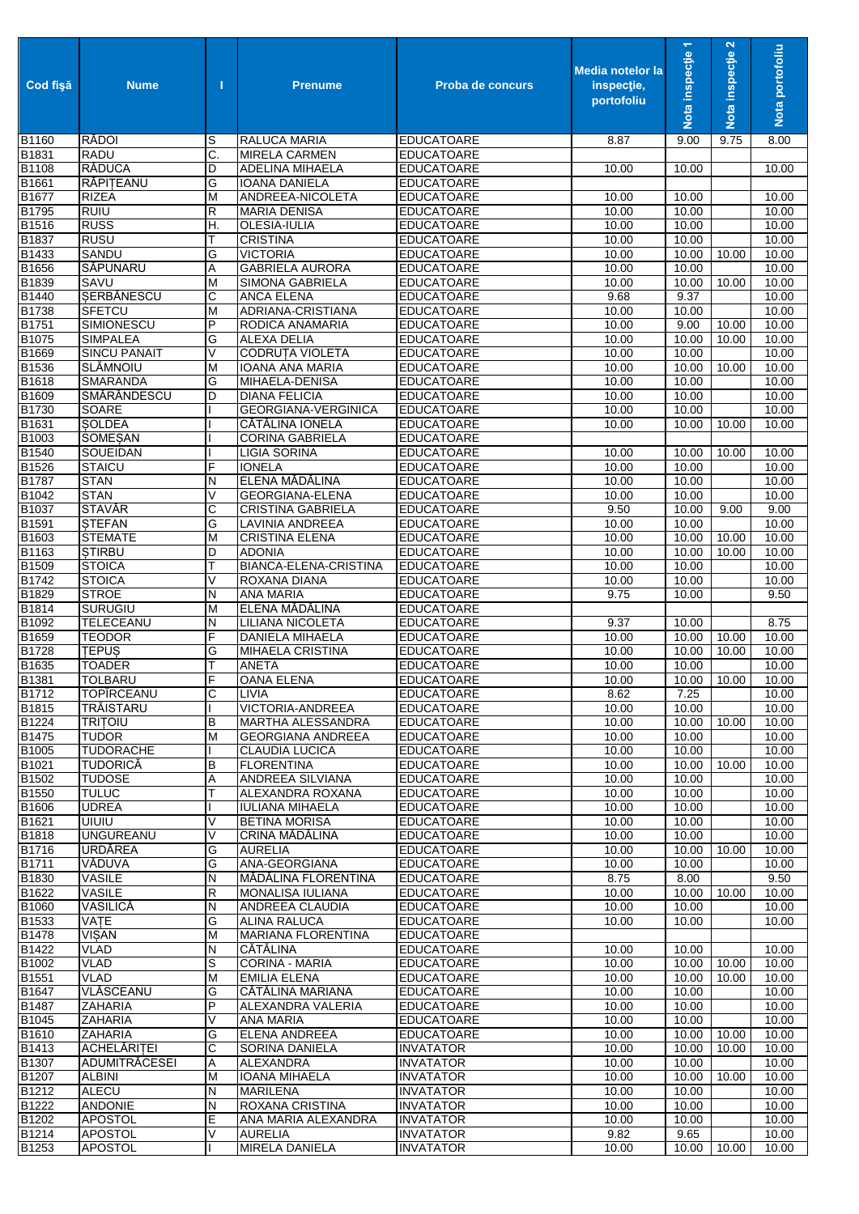| Cod fişă                   | <b>Nume</b>                        | п      | <b>Prenume</b>                                 | <b>Proba de concurs</b>                | <b>Media notelor la</b><br>inspectie,<br>portofoliu | Nota inspecție 1    | Nota inspecție 2   | Nota portofoliu |
|----------------------------|------------------------------------|--------|------------------------------------------------|----------------------------------------|-----------------------------------------------------|---------------------|--------------------|-----------------|
| B1160                      | <b>RĂDOI</b>                       | S      | RALUCA MARIA                                   | <b>EDUCATOARE</b>                      | 8.87                                                | 9.00                | 9.75               | 8.00            |
| B1831                      | <b>RADU</b>                        | C.     | MIRELA CARMEN                                  | <b>EDUCATOARE</b>                      |                                                     |                     |                    |                 |
| B1108<br>B1661             | <b>RĂDUCA</b><br>RĂPITEANU         | D<br>G | ADELINA MIHAELA<br><b>IOANA DANIELA</b>        | <b>EDUCATOARE</b><br><b>EDUCATOARE</b> | 10.00                                               | 10.00               |                    | 10.00           |
| B1677                      | <b>RIZEA</b>                       | M      | ANDREEA-NICOLETA                               | <b>EDUCATOARE</b>                      | 10.00                                               | 10.00               |                    | 10.00           |
| B1795                      | <b>RUIU</b>                        | R      | <b>MARIA DENISA</b>                            | <b>EDUCATOARE</b>                      | 10.00                                               | 10.00               |                    | 10.00           |
| <b>B1516</b>               | <b>RUSS</b>                        | Η.     | OLESIA-IULIA                                   | <b>EDUCATOARE</b>                      | 10.00                                               | 10.00               |                    | 10.00           |
| B1837                      | <b>RUSU</b>                        | Т      | <b>CRISTINA</b>                                | <b>EDUCATOARE</b>                      | 10.00                                               | 10.00               |                    | 10.00           |
| B1433                      | <b>SANDU</b>                       | G      | <b>VICTORIA</b>                                | <b>EDUCATOARE</b>                      | 10.00                                               | 10.00               | 10.00              | 10.00           |
| B1656<br>B1839             | SĂPUNARU<br>SAVU                   | Α<br>M | <b>GABRIELA AURORA</b><br>SIMONA GABRIELA      | <b>EDUCATOARE</b>                      | 10.00<br>10.00                                      | 10.00<br>10.00      | 10.00              | 10.00<br>10.00  |
| <b>B1440</b>               | <b>SERBÅNESCU</b>                  | C      | <b>ANCA ELENA</b>                              | <b>EDUCATOARE</b><br><b>EDUCATOARE</b> | 9.68                                                | 9.37                |                    | 10.00           |
| B1738                      | <b>SFETCU</b>                      | M      | ADRIANA-CRISTIANA                              | <b>EDUCATOARE</b>                      | 10.00                                               | 10.00               |                    | 10.00           |
| B1751                      | SIMIONESCU                         | P      | RODICA ANAMARIA                                | <b>EDUCATOARE</b>                      | 10.00                                               | 9.00                | 10.00              | 10.00           |
| B1075                      | <b>SIMPALEA</b>                    | G      | <b>ALEXA DELIA</b>                             | <b>EDUCATOARE</b>                      | 10.00                                               | 10.00               | 10.00              | 10.00           |
| B1669                      | <b>SINCU PANAIT</b>                | V      | <b>CODRUTA VIOLETA</b>                         | <b>EDUCATOARE</b>                      | 10.00                                               | 10.00               |                    | 10.00           |
| B1536                      | <b>SLĂMNOIU</b><br><b>SMARANDA</b> | M      | <b>IOANA ANA MARIA</b>                         | <b>EDUCATOARE</b>                      | 10.00                                               | 10.00               | 10.00              | 10.00           |
| B1618<br>B1609             | SMĂRĂNDESCU                        | G<br>D | MIHAELA-DENISA<br><b>DIANA FELICIA</b>         | <b>EDUCATOARE</b><br><b>EDUCATOARE</b> | 10.00<br>10.00                                      | 10.00<br>10.00      |                    | 10.00<br>10.00  |
| B1730                      | SOARE                              |        | <b>GEORGIANA-VERGINICA</b>                     | <b>EDUCATOARE</b>                      | 10.00                                               | 10.00               |                    | 10.00           |
| B1631                      | <b>SOLDEA</b>                      |        | CĂTĂLINA IONELA                                | <b>EDUCATOARE</b>                      | 10.00                                               | 10.00               | 10.00              | 10.00           |
| B1003                      | SOMEŞAN                            |        | <b>CORINA GABRIELA</b>                         | <b>EDUCATOARE</b>                      |                                                     |                     |                    |                 |
| B <sub>1540</sub>          | SOUEIDAN                           |        | <b>LIGIA SORINA</b>                            | <b>EDUCATOARE</b>                      | 10.00                                               | 10.00               | 10.00              | 10.00           |
| <b>B1526</b>               | <b>STAICU</b>                      | F      | <b>IONELA</b>                                  | <b>EDUCATOARE</b>                      | 10.00                                               | 10.00               |                    | 10.00           |
| <b>B1787</b><br>B1042      | <b>STAN</b><br><b>STAN</b>         | N<br>V | ELENA MĂDĂLINA<br><b>GEORGIANA-ELENA</b>       | <b>EDUCATOARE</b><br><b>EDUCATOARE</b> | 10.00                                               | 10.00<br>10.00      |                    | 10.00<br>10.00  |
| B1037                      | <b>STAVĂR</b>                      | С      | <b>CRISTINA GABRIELA</b>                       | <b>EDUCATOARE</b>                      | 10.00<br>9.50                                       | 10.00               | 9.00               | 9.00            |
| B1591                      | <b>STEFAN</b>                      | G      | LAVINIA ANDREEA                                | <b>EDUCATOARE</b>                      | 10.00                                               | 10.00               |                    | 10.00           |
| B1603                      | <b>STEMATE</b>                     | M      | <b>CRISTINA ELENA</b>                          | <b>EDUCATOARE</b>                      | 10.00                                               | 10.00               | 10.00              | 10.00           |
| B1163                      | <b>STIRBU</b>                      | D      | <b>ADONIA</b>                                  | <b>EDUCATOARE</b>                      | 10.00                                               | 10.00               | 10.00              | 10.00           |
| B1509                      | <b>STOICA</b>                      | Т      | BIANCA-ELENA-CRISTINA                          | <b>EDUCATOARE</b>                      | 10.00                                               | 10.00               |                    | 10.00           |
| B1742                      | <b>STOICA</b>                      | $\vee$ | ROXANA DIANA                                   | <b>EDUCATOARE</b>                      | 10.00                                               | 10.00               |                    | 10.00           |
| B1829<br>B1814             | <b>STROE</b><br><b>SURUGIU</b>     | N<br>M | ANA MARIA<br>ELENA MĂDĂLINA                    | <b>EDUCATOARE</b><br><b>EDUCATOARE</b> | 9.75                                                | 10.00               |                    | 9.50            |
| B1092                      | TELECEANU                          | N      | <b>LILIANA NICOLETA</b>                        | <b>EDUCATOARE</b>                      | 9.37                                                | 10.00               |                    | 8.75            |
| B1659                      | <b>TEODOR</b>                      | F      | DANIELA MIHAELA                                | <b>EDUCATOARE</b>                      | 10.00                                               | 10.00               | 10.00              | 10.00           |
| B1728                      | <b>TEPUS</b>                       | G      | <b>MIHAELA CRISTINA</b>                        | <b>EDUCATOARE</b>                      | 10.00                                               | 10.00               | 10.00              | 10.00           |
| B1635                      | <b>TOADER</b>                      | Т      | <b>ANETA</b>                                   | <b>EDUCATOARE</b>                      | 10.00                                               | 10.00               |                    | 10.00           |
| B1381                      | <b>TOLBARU</b>                     | F      | <b>OANA ELENA</b>                              | <b>EDUCATOARE</b>                      | 10.00                                               | 10.00               | 10.00              | 10.00           |
| B1712<br>B <sub>1815</sub> | <b>TOPIRCEANU</b><br>TRĂISTARU     | С      | LIVIA<br>VICTORIA-ANDREEA                      | <b>EDUCATOARE</b><br><b>EDUCATOARE</b> | 8.62<br>10.00                                       | 7.25<br>10.00       |                    | 10.00<br>10.00  |
| B1224                      | <b>TRITOIU</b>                     | В      | MARTHA ALESSANDRA                              | <b>EDUCATOARE</b>                      | 10.00                                               | 10.00               | 10.00              | 10.00           |
| B1475                      | <b>TUDOR</b>                       | M      | <b>GEORGIANA ANDREEA</b>                       | <b>EDUCATOARE</b>                      | 10.00                                               | 10.00               |                    | 10.00           |
| B1005                      | <b>TUDORACHE</b>                   |        | <b>CLAUDIA LUCICA</b>                          | <b>EDUCATOARE</b>                      | 10.00                                               | 10.00               |                    | 10.00           |
| B1021                      | <b>TUDORICĂ</b>                    | в      | <b>FLORENTINA</b>                              | <b>EDUCATOARE</b>                      | 10.00                                               | 10.00               | 10.00              | 10.00           |
| B1502                      | <b>TUDOSE</b>                      | Α      | <b>ANDREEA SILVIANA</b>                        | <b>EDUCATOARE</b>                      | 10.00                                               | 10.00               |                    | 10.00           |
| B1550                      | <b>TULUC</b>                       | т      | ALEXANDRA ROXANA                               | <b>EDUCATOARE</b>                      | 10.00                                               | 10.00               |                    | 10.00           |
| B1606<br>B1621             | <b>UDREA</b><br><b>UIUIU</b>       | V      | <b>IULIANA MIHAELA</b><br><b>BETINA MORISA</b> | <b>EDUCATOARE</b><br><b>EDUCATOARE</b> | 10.00<br>10.00                                      | 10.00<br>10.00      |                    | 10.00<br>10.00  |
| B1818                      | <b>UNGUREANU</b>                   | V      | CRINA MĂDĂLINA                                 | <b>EDUCATOARE</b>                      | 10.00                                               | 10.00               |                    | 10.00           |
| B1716                      | <b>URDĂREA</b>                     | G      | <b>AURELIA</b>                                 | <b>EDUCATOARE</b>                      | 10.00                                               | 10.00               | 10.00              | 10.00           |
| <b>B1711</b>               | VĂDUVA                             | G      | ANA-GEORGIANA                                  | <b>EDUCATOARE</b>                      | 10.00                                               | 10.00               |                    | 10.00           |
| B1830                      | <b>VASILE</b>                      | N      | MĂDĂLINA FLORENTINA                            | <b>EDUCATOARE</b>                      | 8.75                                                | 8.00                |                    | 9.50            |
| B1622                      | <b>VASILE</b>                      | R      | <b>MONALISA IULIANA</b>                        | <b>EDUCATOARE</b>                      | 10.00                                               | 10.00               | 10.00              | 10.00           |
| B1060                      | VASILICĂ<br><b>VATE</b>            | N<br>G | ANDREEA CLAUDIA<br><b>ALINA RALUCA</b>         | <b>EDUCATOARE</b>                      | 10.00                                               | 10.00               |                    | 10.00           |
| B1533<br>B1478             | <b>VISAN</b>                       | M      | <b>MARIANA FLORENTINA</b>                      | <b>EDUCATOARE</b><br><b>EDUCATOARE</b> | 10.00                                               | 10.00               |                    | 10.00           |
| <b>B1422</b>               | VLAD                               | N      | CÁTÁLINA                                       | <b>EDUCATOARE</b>                      | 10.00                                               | 10.00               |                    | 10.00           |
| B1002                      | <b>VLAD</b>                        | S      | CORINA - MARIA                                 | <b>EDUCATOARE</b>                      | 10.00                                               | 10.00               | 10.00              | 10.00           |
| <b>B1551</b>               | <b>VLAD</b>                        | M      | <b>EMILIA ELENA</b>                            | <b>EDUCATOARE</b>                      | 10.00                                               | 10.00               | $\overline{10.00}$ | 10.00           |
| B1647                      | VLĂSCEANU                          | G      | CĂTĂLINA MARIANA                               | <b>EDUCATOARE</b>                      | 10.00                                               | 10.00               |                    | 10.00           |
| B1487                      | <b>ZAHARIA</b>                     | P      | ALEXANDRA VALERIA                              | <b>EDUCATOARE</b>                      | 10.00                                               | 10.00               |                    | 10.00           |
| B1045<br>B1610             | ZAHARIA<br>ZAHARIA                 | V<br>G | ANA MARIA<br>ELENA ANDREEA                     | <b>EDUCATOARE</b><br><b>EDUCATOARE</b> | 10.00<br>10.00                                      | 10.00<br>10.00      | 10.00              | 10.00<br>10.00  |
| B1413                      | <b>ACHELĂRITEI</b>                 | C      | SORINA DANIELA                                 | <b>INVATATOR</b>                       | 10.00                                               | 10.00               | 10.00              | 10.00           |
| B1307                      | <b>ADUMITRĂCESEI</b>               | Α      | ALEXANDRA                                      | <b>INVATATOR</b>                       | 10.00                                               | 10.00               |                    | 10.00           |
| B1207                      | <b>ALBINI</b>                      | M      | IOANA MIHAELA                                  | <b>INVATATOR</b>                       | 10.00                                               | 10.00               | 10.00              | 10.00           |
| B1212                      | <b>ALECU</b>                       | N      | <b>MARILENA</b>                                | <b>INVATATOR</b>                       | 10.00                                               | 10.00               |                    | 10.00           |
| B1222                      | <b>ANDONIE</b>                     | N      | ROXANA CRISTINA                                | <b>INVATATOR</b>                       | 10.00                                               | 10.00               |                    | 10.00           |
| B1202                      | <b>APOSTOL</b>                     | Е<br>V | ANA MARIA ALEXANDRA                            | <b>INVATATOR</b>                       | 10.00                                               | 10.00               |                    | 10.00           |
| B1214<br>B1253             | <b>APOSTOL</b><br><b>APOSTOL</b>   |        | AURELIA<br>MIRELA DANIELA                      | <b>INVATATOR</b><br><b>INVATATOR</b>   | 9.82<br>10.00                                       | 9.65<br>10.00 10.00 |                    | 10.00<br>10.00  |
|                            |                                    |        |                                                |                                        |                                                     |                     |                    |                 |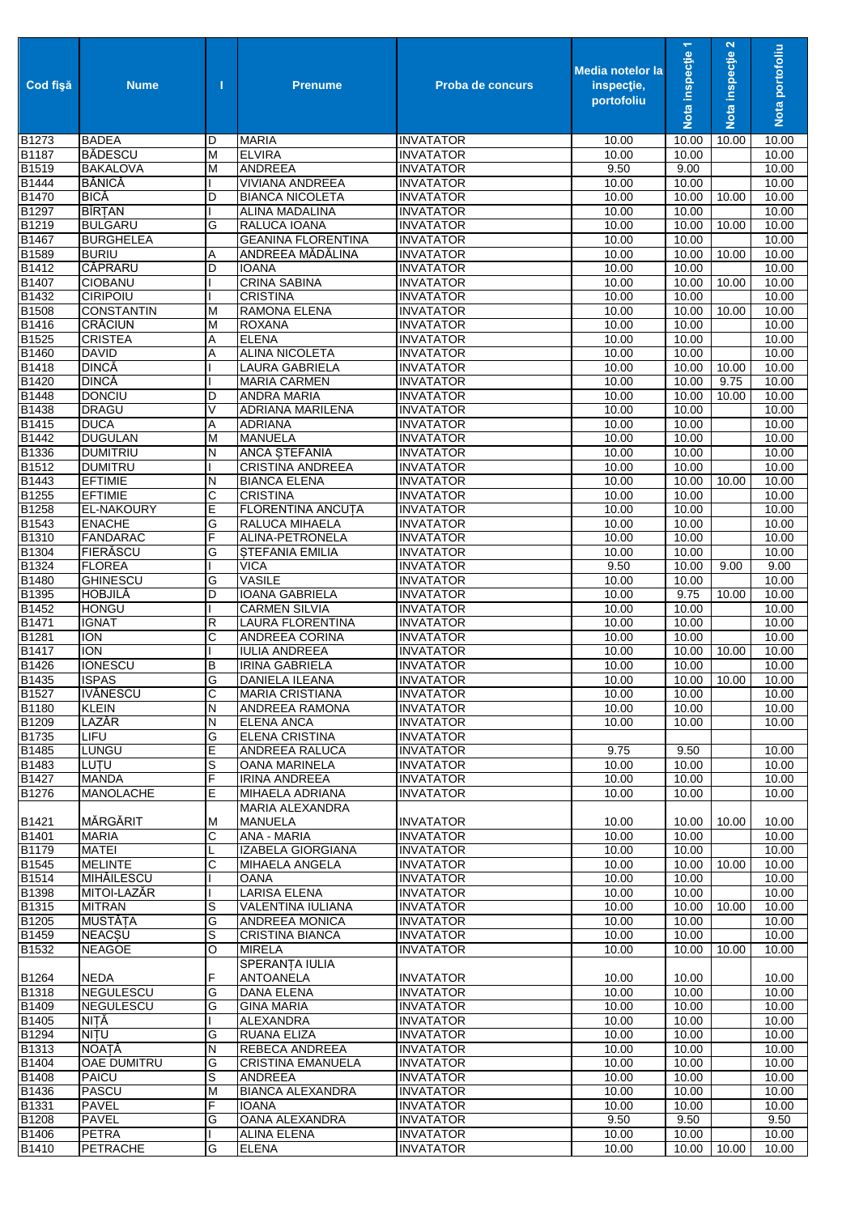| <b>Cod fisă</b>            | <b>Nume</b>                      | п      | <b>Prenume</b>                                | <b>Proba de concurs</b>              | <b>Media notelor la</b><br>inspectie,<br>portofoliu | $\overline{\phantom{0}}$<br>Nota inspecție | Nota inspecție 2 | Nota portofoliu |
|----------------------------|----------------------------------|--------|-----------------------------------------------|--------------------------------------|-----------------------------------------------------|--------------------------------------------|------------------|-----------------|
| B1273                      | <b>BADEA</b>                     | D      | <b>MARIA</b>                                  | <b>INVATATOR</b>                     | 10.00                                               | 10.00                                      | 10.00            | 10.00           |
| B1187                      | <b>BĂDESCU</b>                   | M      | <b>ELVIRA</b>                                 | <b>INVATATOR</b>                     | 10.00                                               | 10.00                                      |                  | 10.00           |
| B1519<br><b>B1444</b>      | <b>BAKALOVA</b><br><b>BĂNICĂ</b> | М      | <b>ANDREEA</b><br><b>VIVIANA ANDREEA</b>      | <b>INVATATOR</b><br><b>INVATATOR</b> | 9.50<br>10.00                                       | 9.00<br>10.00                              |                  | 10.00<br>10.00  |
| B1470                      | <b>BICĂ</b>                      | D      | <b>BIANCA NICOLETA</b>                        | <b>INVATATOR</b>                     | 10.00                                               | 10.00                                      | 10.00            | 10.00           |
| B1297                      | <b>BÎRȚAN</b>                    |        | ALINA MADALINA                                | <b>INVATATOR</b>                     | 10.00                                               | 10.00                                      |                  | 10.00           |
| B1219                      | <b>BULGARU</b>                   | G      | RALUCA IOANA                                  | <b>INVATATOR</b>                     | 10.00                                               | 10.00                                      | 10.00            | 10.00           |
| B1467                      | <b>BURGHELEA</b>                 |        | <b>GEANINA FLORENTINA</b>                     | <b>INVATATOR</b>                     | 10.00                                               | 10.00                                      |                  | 10.00           |
| B1589                      | <b>BURIU</b>                     | Α      | ANDREEA MĂDĂLINA                              | <b>INVATATOR</b>                     | 10.00                                               | 10.00                                      | 10.00            | 10.00           |
| B <sub>1412</sub><br>B1407 | CĂPRARU<br><b>CIOBANU</b>        | D      | <b>IOANA</b><br><b>CRINA SABINA</b>           | <b>INVATATOR</b><br><b>INVATATOR</b> | 10.00<br>10.00                                      | 10.00<br>10.00                             | 10.00            | 10.00<br>10.00  |
| B1432                      | CIRIPOIU                         |        | <b>CRISTINA</b>                               | <b>INVATATOR</b>                     | 10.00                                               | 10.00                                      |                  | 10.00           |
| B1508                      | <b>CONSTANTIN</b>                | М      | RAMONA ELENA                                  | <b>INVATATOR</b>                     | 10.00                                               | 10.00                                      | 10.00            | 10.00           |
| B1416                      | <b>CRĂCIUN</b>                   | M      | <b>ROXANA</b>                                 | <b>INVATATOR</b>                     | 10.00                                               | 10.00                                      |                  | 10.00           |
| B1525                      | <b>CRISTEA</b>                   | Α      | <b>ELENA</b>                                  | <b>INVATATOR</b>                     | 10.00                                               | 10.00                                      |                  | 10.00           |
| <b>B1460</b>               | <b>DAVID</b>                     | Α      | ALINA NICOLETA                                | <b>INVATATOR</b>                     | 10.00                                               | 10.00                                      |                  | 10.00           |
| B1418                      | <b>DINCĂ</b>                     |        | LAURA GABRIELA                                | <b>INVATATOR</b>                     | 10.00                                               | 10.00                                      | 10.00            | 10.00           |
| <b>B1420</b>               | <b>DINCĂ</b>                     |        | <b>MARIA CARMEN</b>                           | <b>INVATATOR</b>                     | 10.00                                               | 10.00                                      | 9.75             | 10.00           |
| B1448<br>B1438             | <b>DONCIU</b><br><b>DRAGU</b>    | D<br>V | <b>ANDRA MARIA</b><br><b>ADRIANA MARILENA</b> | <b>INVATATOR</b><br><b>INVATATOR</b> | 10.00<br>10.00                                      | 10.00<br>10.00                             | 10.00            | 10.00<br>10.00  |
| B1415                      | <b>DUCA</b>                      | Α      | <b>ADRIANA</b>                                | <b>INVATATOR</b>                     | 10.00                                               | 10.00                                      |                  | 10.00           |
| B1442                      | <b>DUGULAN</b>                   | M      | <b>MANUELA</b>                                | <b>INVATATOR</b>                     | 10.00                                               | 10.00                                      |                  | 10.00           |
| B1336                      | <b>DUMITRIU</b>                  | N      | <b>ANCA STEFANIA</b>                          | <b>INVATATOR</b>                     | 10.00                                               | 10.00                                      |                  | 10.00           |
| B1512                      | <b>DUMITRU</b>                   |        | <b>CRISTINA ANDREEA</b>                       | <b>INVATATOR</b>                     | 10.00                                               | 10.00                                      |                  | 10.00           |
| B1443                      | <b>EFTIMIE</b>                   | Ν      | <b>BIANCA ELENA</b>                           | <b>INVATATOR</b>                     | 10.00                                               | 10.00                                      | 10.00            | 10.00           |
| B1255                      | <b>EFTIMIE</b>                   | C      | <b>CRISTINA</b>                               | <b>INVATATOR</b>                     | 10.00                                               | 10.00                                      |                  | 10.00           |
| B1258                      | <b>EL-NAKOURY</b>                | Е      | FLORENTINA ANCUTA                             | <b>INVATATOR</b>                     | 10.00                                               | 10.00                                      |                  | 10.00           |
| B1543                      | <b>ENACHE</b>                    | G      | RALUCA MIHAELA                                | <b>INVATATOR</b>                     | 10.00                                               | 10.00                                      |                  | 10.00           |
| B1310                      | <b>FANDARAC</b>                  | F      | ALINA-PETRONELA                               | <b>INVATATOR</b>                     | 10.00                                               | 10.00                                      |                  | 10.00           |
| B1304                      | FIERĂSCU<br><b>FLOREA</b>        | G      | <b>STEFANIA EMILIA</b><br><b>VICA</b>         | <b>INVATATOR</b>                     | 10.00<br>9.50                                       | 10.00                                      |                  | 10.00<br>9.00   |
| B1324<br>B1480             | <b>GHINESCU</b>                  | G      | <b>VASILE</b>                                 | <b>INVATATOR</b><br><b>INVATATOR</b> | 10.00                                               | 10.00<br>10.00                             | 9.00             | 10.00           |
| B1395                      | HOBJILĂ                          | D      | <b>IOANA GABRIELA</b>                         | <b>INVATATOR</b>                     | 10.00                                               | 9.75                                       | 10.00            | 10.00           |
| B1452                      | <b>HONGU</b>                     |        | <b>CARMEN SILVIA</b>                          | <b>INVATATOR</b>                     | 10.00                                               | 10.00                                      |                  | 10.00           |
| B1471                      | <b>IGNAT</b>                     | R      | <b>LAURA FLORENTINA</b>                       | <b>INVATATOR</b>                     | 10.00                                               | 10.00                                      |                  | 10.00           |
| B1281                      | <b>ION</b>                       | C      | ANDREEA CORINA                                | <b>INVATATOR</b>                     | 10.00                                               | 10.00                                      |                  | 10.00           |
| B1417                      | <b>ION</b>                       |        | <b>IULIA ANDREEA</b>                          | <b>INVATATOR</b>                     | 10.00                                               | 10.00                                      | 10.00            | 10.00           |
| B1426                      | <b>IONESCU</b>                   | В      | <b>IRINA GABRIELA</b>                         | <b>INVATATOR</b>                     | 10.00                                               | 10.00                                      |                  | 10.00           |
| B1435                      | <b>ISPAS</b>                     | G      | DANIELA ILEANA                                | <b>INVATATOR</b>                     | 10.00                                               | 10.00                                      | 10.00            | 10.00           |
| <b>B</b> 1527<br>B1180     | <b>IVĂNESCU</b><br><b>KLEIN</b>  | C<br>N | <b>MARIA CRISTIANA</b><br>ANDREEA RAMONA      | <b>INVATATOR</b><br><b>INVATATOR</b> | 10.00<br>10.00                                      | 10.00<br>10.00                             |                  | 10.00<br>10.00  |
| B1209                      | LAZĂR                            | Ν      | <b>ELENA ANCA</b>                             | <b>INVATATOR</b>                     | 10.00                                               | 10.00                                      |                  | 10.00           |
| B1735                      | <b>LIFU</b>                      | G      | <b>ELENA CRISTINA</b>                         | <b>INVATATOR</b>                     |                                                     |                                            |                  |                 |
| B1485                      | LUNGU                            | Е      | ANDREEA RALUCA                                | <b>INVATATOR</b>                     | 9.75                                                | 9.50                                       |                  | 10.00           |
| B1483                      | LUTU                             | S      | OANA MARINELA                                 | <b>INVATATOR</b>                     | 10.00                                               | 10.00                                      |                  | 10.00           |
| B1427                      | <b>MANDA</b>                     | F      | <b>IRINA ANDREEA</b>                          | <b>INVATATOR</b>                     | 10.00                                               | 10.00                                      |                  | 10.00           |
| B1276                      | MANOLACHE                        | Е      | MIHAELA ADRIANA                               | <b>INVATATOR</b>                     | 10.00                                               | 10.00                                      |                  | 10.00           |
|                            |                                  |        | MARIA ALEXANDRA                               |                                      |                                                     |                                            |                  |                 |
| B1421<br><b>B1401</b>      | MĂRGĂRIT<br><b>MARIA</b>         | Μ      | <b>MANUELA</b><br>ANA - MARIA                 | <b>INVATATOR</b>                     | 10.00<br>10.00                                      | 10.00<br>10.00                             | 10.00            | 10.00<br>10.00  |
| B1179                      | <b>MATEI</b>                     | С<br>L | IZABELA GIORGIANA                             | <b>INVATATOR</b><br><b>INVATATOR</b> | 10.00                                               | 10.00                                      |                  | 10.00           |
| B1545                      | <b>MELINTE</b>                   | С      | <b>MIHAELA ANGELA</b>                         | <b>INVATATOR</b>                     | 10.00                                               | 10.00                                      | 10.00            | 10.00           |
| B1514                      | <b>MIHĂILESCU</b>                |        | <b>OANA</b>                                   | <b>INVATATOR</b>                     | 10.00                                               | 10.00                                      |                  | 10.00           |
| B1398                      | MITOI-LAZĂR                      |        | <b>LARISA ELENA</b>                           | <b>INVATATOR</b>                     | 10.00                                               | 10.00                                      |                  | 10.00           |
| B1315                      | <b>MITRAN</b>                    | S      | VALENTINA IULIANA                             | <b>INVATATOR</b>                     | 10.00                                               | 10.00                                      | 10.00            | 10.00           |
| B1205                      | <b>MUSTĂȚA</b>                   | G      | ANDREEA MONICA                                | <b>INVATATOR</b>                     | 10.00                                               | 10.00                                      |                  | 10.00           |
| B1459                      | <b>NEACSU</b>                    | S      | <b>CRISTINA BIANCA</b>                        | <b>INVATATOR</b>                     | 10.00                                               | 10.00                                      |                  | 10.00           |
| B1532                      | <b>NEAGOE</b>                    | O      | <b>MIRELA</b><br>SPERANȚA IULIA               | <b>INVATATOR</b>                     | 10.00                                               | 10.00                                      | 10.00            | 10.00           |
| B1264                      | <b>NEDA</b>                      | F      | ANTOANELA                                     | <b>INVATATOR</b>                     | 10.00                                               | 10.00                                      |                  | 10.00           |
| B1318                      | <b>NEGULESCU</b>                 | G      | DANA ELENA                                    | <b>INVATATOR</b>                     | 10.00                                               | 10.00                                      |                  | 10.00           |
| B1409<br>B1405             | <b>NEGULESCU</b><br>NITĂ         | G      | <b>GINA MARIA</b><br>ALEXANDRA                | <b>INVATATOR</b><br><b>INVATATOR</b> | 10.00<br>10.00                                      | 10.00<br>10.00                             |                  | 10.00<br>10.00  |
| B1294                      | NITU                             | G      | RUANA ELIZA                                   | <b>INVATATOR</b>                     | 10.00                                               | 10.00                                      |                  | 10.00           |
| B1313                      | NOAȚĂ                            | Ν      | REBECA ANDREEA                                | <b>INVATATOR</b>                     | 10.00                                               | 10.00                                      |                  | 10.00           |
| B1404                      | <b>OAE DUMITRU</b>               | G      | CRISTINA EMANUELA                             | <b>INVATATOR</b>                     | 10.00                                               | 10.00                                      |                  | 10.00           |
| B1408                      | PAICU                            | S      | ANDREEA                                       | <b>INVATATOR</b>                     | 10.00                                               | 10.00                                      |                  | 10.00           |
| B1436                      | <b>PASCU</b>                     | M      | <b>BIANCA ALEXANDRA</b>                       | <b>INVATATOR</b>                     | 10.00                                               | 10.00                                      |                  | 10.00           |
| B1331                      | <b>PAVEL</b>                     | F      | <b>IOANA</b>                                  | <b>INVATATOR</b>                     | 10.00                                               | 10.00                                      |                  | 10.00           |
| B1208                      | <b>PAVEL</b>                     | G      | OANA ALEXANDRA                                | <b>INVATATOR</b>                     | 9.50                                                | 9.50                                       |                  | 9.50            |
| B1406                      | <b>PETRA</b>                     |        | <b>ALINA ELENA</b>                            | <b>INVATATOR</b>                     | 10.00                                               | 10.00                                      |                  | 10.00           |
| B1410                      | <b>PETRACHE</b>                  | G      | <b>ELENA</b>                                  | <b>INVATATOR</b>                     | 10.00                                               | 10.00 10.00                                |                  | 10.00           |